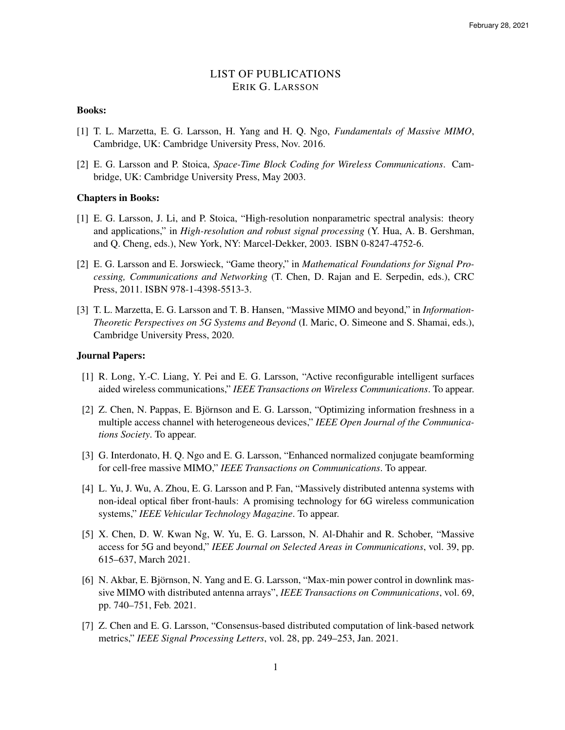# LIST OF PUBLICATIONS ERIK G. LARSSON

## Books:

- [1] T. L. Marzetta, E. G. Larsson, H. Yang and H. Q. Ngo, *Fundamentals of Massive MIMO*, Cambridge, UK: Cambridge University Press, Nov. 2016.
- [2] E. G. Larsson and P. Stoica, *Space-Time Block Coding for Wireless Communications*. Cambridge, UK: Cambridge University Press, May 2003.

#### Chapters in Books:

- [1] E. G. Larsson, J. Li, and P. Stoica, "High-resolution nonparametric spectral analysis: theory and applications," in *High-resolution and robust signal processing* (Y. Hua, A. B. Gershman, and Q. Cheng, eds.), New York, NY: Marcel-Dekker, 2003. ISBN 0-8247-4752-6.
- [2] E. G. Larsson and E. Jorswieck, "Game theory," in *Mathematical Foundations for Signal Processing, Communications and Networking* (T. Chen, D. Rajan and E. Serpedin, eds.), CRC Press, 2011. ISBN 978-1-4398-5513-3.
- [3] T. L. Marzetta, E. G. Larsson and T. B. Hansen, "Massive MIMO and beyond," in *Information-Theoretic Perspectives on 5G Systems and Beyond* (I. Maric, O. Simeone and S. Shamai, eds.), Cambridge University Press, 2020.

# Journal Papers:

- [1] R. Long, Y.-C. Liang, Y. Pei and E. G. Larsson, "Active reconfigurable intelligent surfaces aided wireless communications," *IEEE Transactions on Wireless Communications*. To appear.
- [2] Z. Chen, N. Pappas, E. Björnson and E. G. Larsson, "Optimizing information freshness in a multiple access channel with heterogeneous devices," *IEEE Open Journal of the Communications Society*. To appear.
- [3] G. Interdonato, H. Q. Ngo and E. G. Larsson, "Enhanced normalized conjugate beamforming for cell-free massive MIMO," *IEEE Transactions on Communications*. To appear.
- [4] L. Yu, J. Wu, A. Zhou, E. G. Larsson and P. Fan, "Massively distributed antenna systems with non-ideal optical fiber front-hauls: A promising technology for 6G wireless communication systems," *IEEE Vehicular Technology Magazine*. To appear.
- [5] X. Chen, D. W. Kwan Ng, W. Yu, E. G. Larsson, N. Al-Dhahir and R. Schober, "Massive access for 5G and beyond," *IEEE Journal on Selected Areas in Communications*, vol. 39, pp. 615–637, March 2021.
- [6] N. Akbar, E. Björnson, N. Yang and E. G. Larsson, "Max-min power control in downlink massive MIMO with distributed antenna arrays", *IEEE Transactions on Communications*, vol. 69, pp. 740–751, Feb. 2021.
- [7] Z. Chen and E. G. Larsson, "Consensus-based distributed computation of link-based network metrics," *IEEE Signal Processing Letters*, vol. 28, pp. 249–253, Jan. 2021.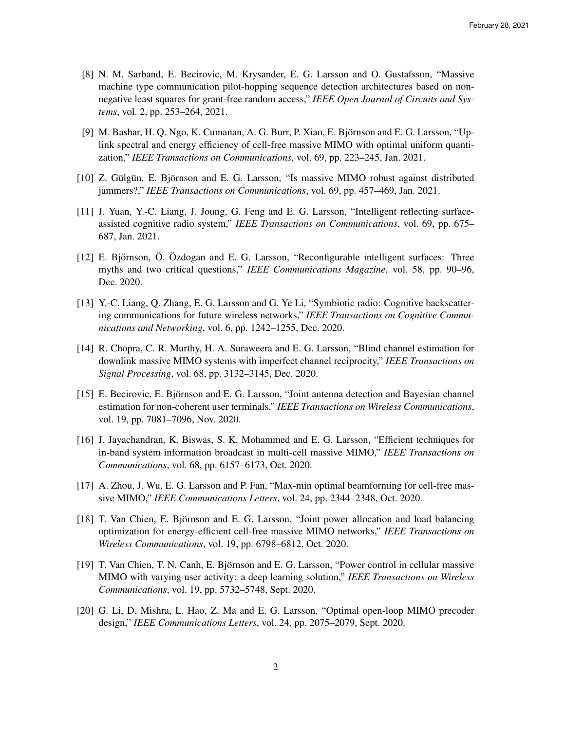- [8] N. M. Sarband, E. Becirovic, M. Krysander, E. G. Larsson and O. Gustafsson, "Massive machine type communication pilot-hopping sequence detection architectures based on nonnegative least squares for grant-free random access," *IEEE Open Journal of Circuits and Systems*, vol. 2, pp. 253–264, 2021.
- [9] M. Bashar, H. Q. Ngo, K. Cumanan, A. G. Burr, P. Xiao, E. Björnson and E. G. Larsson, "Uplink spectral and energy efficiency of cell-free massive MIMO with optimal uniform quantization," *IEEE Transactions on Communications*, vol. 69, pp. 223–245, Jan. 2021.
- [10] Z. Gülgün, E. Björnson and E. G. Larsson, "Is massive MIMO robust against distributed jammers?," *IEEE Transactions on Communications*, vol. 69, pp. 457–469, Jan. 2021.
- [11] J. Yuan, Y.-C. Liang, J. Joung, G. Feng and E. G. Larsson, "Intelligent reflecting surfaceassisted cognitive radio system," *IEEE Transactions on Communications*, vol. 69, pp. 675– 687, Jan. 2021.
- [12] E. Björnson, Ö. Özdogan and E. G. Larsson, "Reconfigurable intelligent surfaces: Three myths and two critical questions," *IEEE Communications Magazine*, vol. 58, pp. 90–96, Dec. 2020.
- [13] Y.-C. Liang, Q. Zhang, E. G. Larsson and G. Ye Li, "Symbiotic radio: Cognitive backscattering communications for future wireless networks," *IEEE Transactions on Cognitive Communications and Networking*, vol. 6, pp. 1242–1255, Dec. 2020.
- [14] R. Chopra, C. R. Murthy, H. A. Suraweera and E. G. Larsson, "Blind channel estimation for downlink massive MIMO systems with imperfect channel reciprocity," *IEEE Transactions on Signal Processing*, vol. 68, pp. 3132–3145, Dec. 2020.
- [15] E. Becirovic, E. Björnson and E. G. Larsson, "Joint antenna detection and Bayesian channel estimation for non-coherent user terminals," *IEEE Transactions on Wireless Communications*, vol. 19, pp. 7081–7096, Nov. 2020.
- [16] J. Jayachandran, K. Biswas, S. K. Mohammed and E. G. Larsson, "Efficient techniques for in-band system information broadcast in multi-cell massive MIMO," *IEEE Transactions on Communications*, vol. 68, pp. 6157–6173, Oct. 2020.
- [17] A. Zhou, J. Wu, E. G. Larsson and P. Fan, "Max-min optimal beamforming for cell-free massive MIMO," *IEEE Communications Letters*, vol. 24, pp. 2344–2348, Oct. 2020.
- [18] T. Van Chien, E. Björnson and E. G. Larsson, "Joint power allocation and load balancing optimization for energy-efficient cell-free massive MIMO networks," *IEEE Transactions on Wireless Communications*, vol. 19, pp. 6798–6812, Oct. 2020.
- [19] T. Van Chien, T. N. Canh, E. Bjornson and E. G. Larsson, "Power control in cellular massive ¨ MIMO with varying user activity: a deep learning solution," *IEEE Transactions on Wireless Communications*, vol. 19, pp. 5732–5748, Sept. 2020.
- [20] G. Li, D. Mishra, L. Hao, Z. Ma and E. G. Larsson, "Optimal open-loop MIMO precoder design," *IEEE Communications Letters*, vol. 24, pp. 2075–2079, Sept. 2020.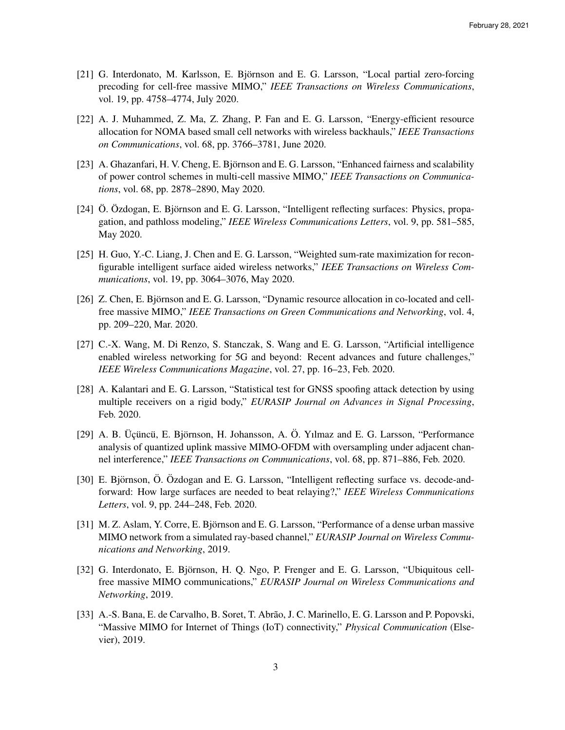- [21] G. Interdonato, M. Karlsson, E. Björnson and E. G. Larsson, "Local partial zero-forcing precoding for cell-free massive MIMO," *IEEE Transactions on Wireless Communications*, vol. 19, pp. 4758–4774, July 2020.
- [22] A. J. Muhammed, Z. Ma, Z. Zhang, P. Fan and E. G. Larsson, "Energy-efficient resource allocation for NOMA based small cell networks with wireless backhauls," *IEEE Transactions on Communications*, vol. 68, pp. 3766–3781, June 2020.
- [23] A. Ghazanfari, H. V. Cheng, E. Björnson and E. G. Larsson, "Enhanced fairness and scalability of power control schemes in multi-cell massive MIMO," *IEEE Transactions on Communications*, vol. 68, pp. 2878–2890, May 2020.
- [24] Ö. Özdogan, E. Björnson and E. G. Larsson, "Intelligent reflecting surfaces: Physics, propagation, and pathloss modeling," *IEEE Wireless Communications Letters*, vol. 9, pp. 581–585, May 2020.
- [25] H. Guo, Y.-C. Liang, J. Chen and E. G. Larsson, "Weighted sum-rate maximization for reconfigurable intelligent surface aided wireless networks," *IEEE Transactions on Wireless Communications*, vol. 19, pp. 3064–3076, May 2020.
- [26] Z. Chen, E. Björnson and E. G. Larsson, "Dynamic resource allocation in co-located and cellfree massive MIMO," *IEEE Transactions on Green Communications and Networking*, vol. 4, pp. 209–220, Mar. 2020.
- [27] C.-X. Wang, M. Di Renzo, S. Stanczak, S. Wang and E. G. Larsson, "Artificial intelligence enabled wireless networking for 5G and beyond: Recent advances and future challenges," *IEEE Wireless Communications Magazine*, vol. 27, pp. 16–23, Feb. 2020.
- [28] A. Kalantari and E. G. Larsson, "Statistical test for GNSS spoofing attack detection by using multiple receivers on a rigid body," *EURASIP Journal on Advances in Signal Processing*, Feb. 2020.
- $[29]$  A. B. Üçüncü, E. Björnson, H. Johansson, A. Ö. Yılmaz and E. G. Larsson, "Performance analysis of quantized uplink massive MIMO-OFDM with oversampling under adjacent channel interference," *IEEE Transactions on Communications*, vol. 68, pp. 871–886, Feb. 2020.
- [30] E. Björnson, Ö. Özdogan and E. G. Larsson, "Intelligent reflecting surface vs. decode-andforward: How large surfaces are needed to beat relaying?," *IEEE Wireless Communications Letters*, vol. 9, pp. 244–248, Feb. 2020.
- [31] M. Z. Aslam, Y. Corre, E. Björnson and E. G. Larsson, "Performance of a dense urban massive MIMO network from a simulated ray-based channel," *EURASIP Journal on Wireless Communications and Networking*, 2019.
- [32] G. Interdonato, E. Björnson, H. Q. Ngo, P. Frenger and E. G. Larsson, "Ubiquitous cellfree massive MIMO communications," *EURASIP Journal on Wireless Communications and Networking*, 2019.
- [33] A.-S. Bana, E. de Carvalho, B. Soret, T. Abrão, J. C. Marinello, E. G. Larsson and P. Popovski, "Massive MIMO for Internet of Things (IoT) connectivity," *Physical Communication* (Elsevier), 2019.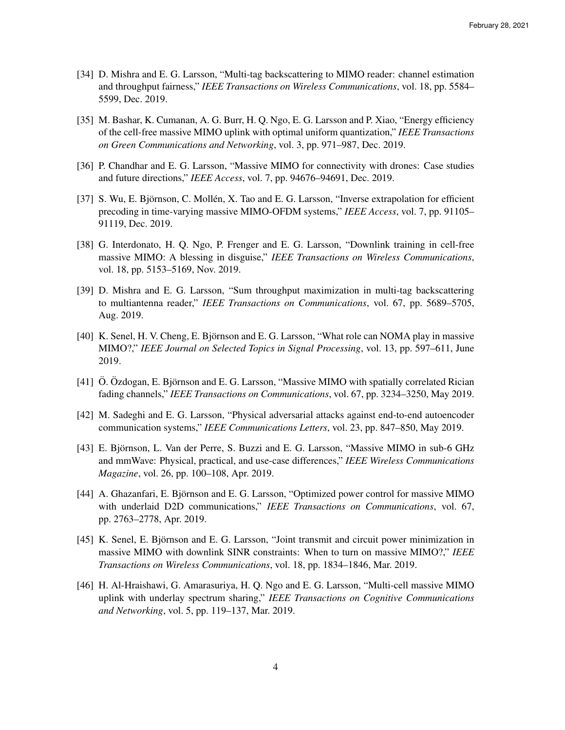- [34] D. Mishra and E. G. Larsson, "Multi-tag backscattering to MIMO reader: channel estimation and throughput fairness," *IEEE Transactions on Wireless Communications*, vol. 18, pp. 5584– 5599, Dec. 2019.
- [35] M. Bashar, K. Cumanan, A. G. Burr, H. Q. Ngo, E. G. Larsson and P. Xiao, "Energy efficiency of the cell-free massive MIMO uplink with optimal uniform quantization," *IEEE Transactions on Green Communications and Networking*, vol. 3, pp. 971–987, Dec. 2019.
- [36] P. Chandhar and E. G. Larsson, "Massive MIMO for connectivity with drones: Case studies and future directions," *IEEE Access*, vol. 7, pp. 94676–94691, Dec. 2019.
- [37] S. Wu, E. Björnson, C. Mollén, X. Tao and E. G. Larsson, "Inverse extrapolation for efficient precoding in time-varying massive MIMO-OFDM systems," *IEEE Access*, vol. 7, pp. 91105– 91119, Dec. 2019.
- [38] G. Interdonato, H. Q. Ngo, P. Frenger and E. G. Larsson, "Downlink training in cell-free massive MIMO: A blessing in disguise," *IEEE Transactions on Wireless Communications*, vol. 18, pp. 5153–5169, Nov. 2019.
- [39] D. Mishra and E. G. Larsson, "Sum throughput maximization in multi-tag backscattering to multiantenna reader," *IEEE Transactions on Communications*, vol. 67, pp. 5689–5705, Aug. 2019.
- [40] K. Senel, H. V. Cheng, E. Björnson and E. G. Larsson, "What role can NOMA play in massive MIMO?," *IEEE Journal on Selected Topics in Signal Processing*, vol. 13, pp. 597–611, June 2019.
- [41] O. Ozdogan, E. Björnson and E. G. Larsson, "Massive MIMO with spatially correlated Rician fading channels," *IEEE Transactions on Communications*, vol. 67, pp. 3234–3250, May 2019.
- [42] M. Sadeghi and E. G. Larsson, "Physical adversarial attacks against end-to-end autoencoder communication systems," *IEEE Communications Letters*, vol. 23, pp. 847–850, May 2019.
- [43] E. Björnson, L. Van der Perre, S. Buzzi and E. G. Larsson, "Massive MIMO in sub-6 GHz and mmWave: Physical, practical, and use-case differences," *IEEE Wireless Communications Magazine*, vol. 26, pp. 100–108, Apr. 2019.
- [44] A. Ghazanfari, E. Björnson and E. G. Larsson, "Optimized power control for massive MIMO with underlaid D2D communications," *IEEE Transactions on Communications*, vol. 67, pp. 2763–2778, Apr. 2019.
- [45] K. Senel, E. Björnson and E. G. Larsson, "Joint transmit and circuit power minimization in massive MIMO with downlink SINR constraints: When to turn on massive MIMO?," *IEEE Transactions on Wireless Communications*, vol. 18, pp. 1834–1846, Mar. 2019.
- [46] H. Al-Hraishawi, G. Amarasuriya, H. Q. Ngo and E. G. Larsson, "Multi-cell massive MIMO uplink with underlay spectrum sharing," *IEEE Transactions on Cognitive Communications and Networking*, vol. 5, pp. 119–137, Mar. 2019.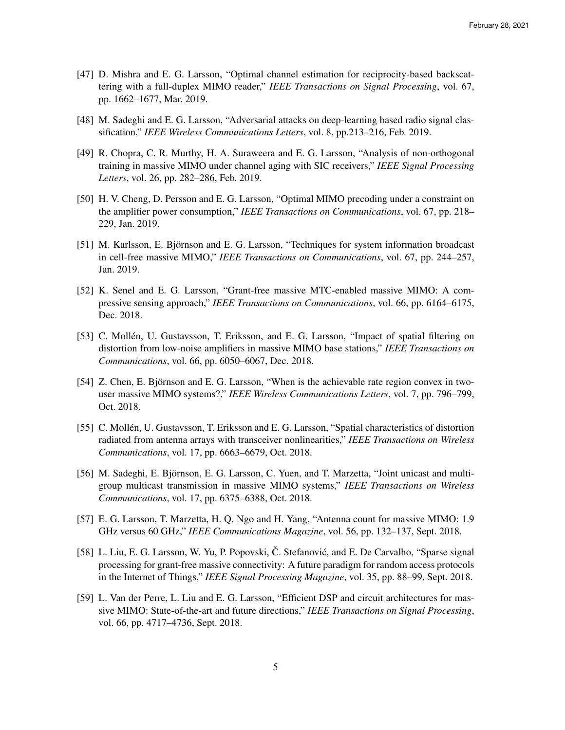- [47] D. Mishra and E. G. Larsson, "Optimal channel estimation for reciprocity-based backscattering with a full-duplex MIMO reader," *IEEE Transactions on Signal Processing*, vol. 67, pp. 1662–1677, Mar. 2019.
- [48] M. Sadeghi and E. G. Larsson, "Adversarial attacks on deep-learning based radio signal classification," *IEEE Wireless Communications Letters*, vol. 8, pp.213–216, Feb. 2019.
- [49] R. Chopra, C. R. Murthy, H. A. Suraweera and E. G. Larsson, "Analysis of non-orthogonal training in massive MIMO under channel aging with SIC receivers," *IEEE Signal Processing Letters*, vol. 26, pp. 282–286, Feb. 2019.
- [50] H. V. Cheng, D. Persson and E. G. Larsson, "Optimal MIMO precoding under a constraint on the amplifier power consumption," *IEEE Transactions on Communications*, vol. 67, pp. 218– 229, Jan. 2019.
- [51] M. Karlsson, E. Björnson and E. G. Larsson, "Techniques for system information broadcast in cell-free massive MIMO," *IEEE Transactions on Communications*, vol. 67, pp. 244–257, Jan. 2019.
- [52] K. Senel and E. G. Larsson, "Grant-free massive MTC-enabled massive MIMO: A compressive sensing approach," *IEEE Transactions on Communications*, vol. 66, pp. 6164–6175, Dec. 2018.
- [53] C. Mollén, U. Gustavsson, T. Eriksson, and E. G. Larsson, "Impact of spatial filtering on distortion from low-noise amplifiers in massive MIMO base stations," *IEEE Transactions on Communications*, vol. 66, pp. 6050–6067, Dec. 2018.
- [54] Z. Chen, E. Björnson and E. G. Larsson, "When is the achievable rate region convex in twouser massive MIMO systems?," *IEEE Wireless Communications Letters*, vol. 7, pp. 796–799, Oct. 2018.
- [55] C. Mollen, U. Gustavsson, T. Eriksson and E. G. Larsson, "Spatial characteristics of distortion ´ radiated from antenna arrays with transceiver nonlinearities," *IEEE Transactions on Wireless Communications*, vol. 17, pp. 6663–6679, Oct. 2018.
- [56] M. Sadeghi, E. Bjornson, E. G. Larsson, C. Yuen, and T. Marzetta, "Joint unicast and multi- ¨ group multicast transmission in massive MIMO systems," *IEEE Transactions on Wireless Communications*, vol. 17, pp. 6375–6388, Oct. 2018.
- [57] E. G. Larsson, T. Marzetta, H. Q. Ngo and H. Yang, "Antenna count for massive MIMO: 1.9 GHz versus 60 GHz," *IEEE Communications Magazine*, vol. 56, pp. 132–137, Sept. 2018.
- [58] L. Liu, E. G. Larsson, W. Yu, P. Popovski, Č. Stefanović, and E. De Carvalho, "Sparse signal processing for grant-free massive connectivity: A future paradigm for random access protocols in the Internet of Things," *IEEE Signal Processing Magazine*, vol. 35, pp. 88–99, Sept. 2018.
- [59] L. Van der Perre, L. Liu and E. G. Larsson, "Efficient DSP and circuit architectures for massive MIMO: State-of-the-art and future directions," *IEEE Transactions on Signal Processing*, vol. 66, pp. 4717–4736, Sept. 2018.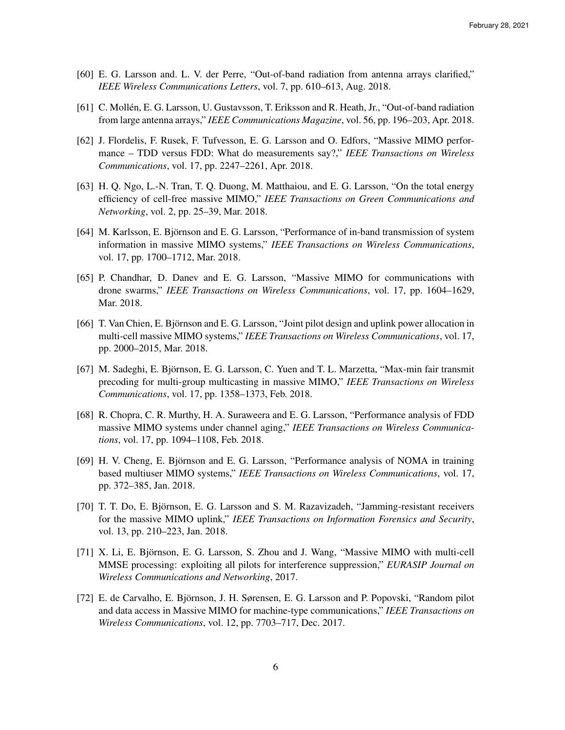- [60] E. G. Larsson and. L. V. der Perre, "Out-of-band radiation from antenna arrays clarified," *IEEE Wireless Communications Letters*, vol. 7, pp. 610–613, Aug. 2018.
- [61] C. Mollen, E. G. Larsson, U. Gustavsson, T. Eriksson and R. Heath, Jr., "Out-of-band radiation ´ from large antenna arrays," *IEEE Communications Magazine*, vol. 56, pp. 196–203, Apr. 2018.
- [62] J. Flordelis, F. Rusek, F. Tufvesson, E. G. Larsson and O. Edfors, "Massive MIMO performance – TDD versus FDD: What do measurements say?," *IEEE Transactions on Wireless Communications*, vol. 17, pp. 2247–2261, Apr. 2018.
- [63] H. Q. Ngo, L.-N. Tran, T. Q. Duong, M. Matthaiou, and E. G. Larsson, "On the total energy efficiency of cell-free massive MIMO," *IEEE Transactions on Green Communications and Networking*, vol. 2, pp. 25–39, Mar. 2018.
- [64] M. Karlsson, E. Björnson and E. G. Larsson, "Performance of in-band transmission of system information in massive MIMO systems," *IEEE Transactions on Wireless Communications*, vol. 17, pp. 1700–1712, Mar. 2018.
- [65] P. Chandhar, D. Danev and E. G. Larsson, "Massive MIMO for communications with drone swarms," *IEEE Transactions on Wireless Communications*, vol. 17, pp. 1604–1629, Mar. 2018.
- [66] T. Van Chien, E. Björnson and E. G. Larsson, "Joint pilot design and uplink power allocation in multi-cell massive MIMO systems," *IEEE Transactions on Wireless Communications*, vol. 17, pp. 2000–2015, Mar. 2018.
- [67] M. Sadeghi, E. Bjornson, E. G. Larsson, C. Yuen and T. L. Marzetta, "Max-min fair transmit ¨ precoding for multi-group multicasting in massive MIMO," *IEEE Transactions on Wireless Communications*, vol. 17, pp. 1358–1373, Feb. 2018.
- [68] R. Chopra, C. R. Murthy, H. A. Suraweera and E. G. Larsson, "Performance analysis of FDD massive MIMO systems under channel aging," *IEEE Transactions on Wireless Communications*, vol. 17, pp. 1094–1108, Feb. 2018.
- [69] H. V. Cheng, E. Björnson and E. G. Larsson, "Performance analysis of NOMA in training based multiuser MIMO systems," *IEEE Transactions on Wireless Communications*, vol. 17, pp. 372–385, Jan. 2018.
- [70] T. T. Do, E. Björnson, E. G. Larsson and S. M. Razavizadeh, "Jamming-resistant receivers for the massive MIMO uplink," *IEEE Transactions on Information Forensics and Security*, vol. 13, pp. 210–223, Jan. 2018.
- [71] X. Li, E. Björnson, E. G. Larsson, S. Zhou and J. Wang, "Massive MIMO with multi-cell MMSE processing: exploiting all pilots for interference suppression," *EURASIP Journal on Wireless Communications and Networking*, 2017.
- [72] E. de Carvalho, E. Björnson, J. H. Sørensen, E. G. Larsson and P. Popovski, "Random pilot and data access in Massive MIMO for machine-type communications," *IEEE Transactions on Wireless Communications*, vol. 12, pp. 7703–717, Dec. 2017.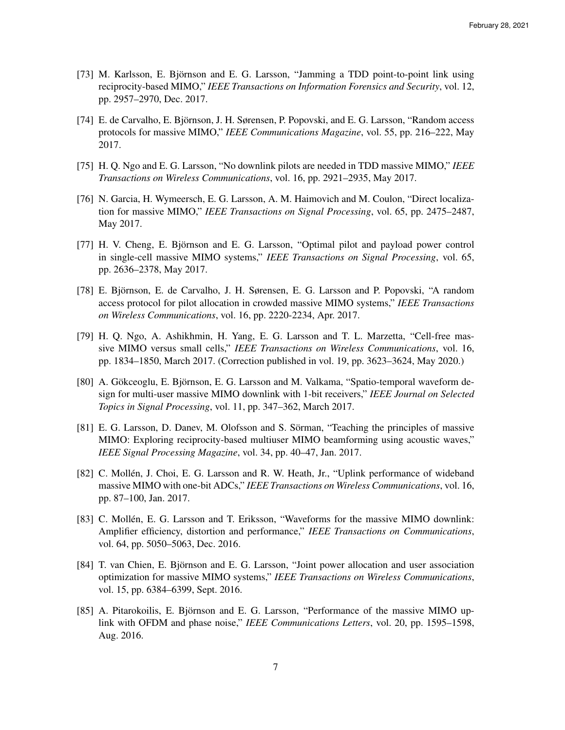- [73] M. Karlsson, E. Björnson and E. G. Larsson, "Jamming a TDD point-to-point link using reciprocity-based MIMO," *IEEE Transactions on Information Forensics and Security*, vol. 12, pp. 2957–2970, Dec. 2017.
- [74] E. de Carvalho, E. Björnson, J. H. Sørensen, P. Popovski, and E. G. Larsson, "Random access" protocols for massive MIMO," *IEEE Communications Magazine*, vol. 55, pp. 216–222, May 2017.
- [75] H. Q. Ngo and E. G. Larsson, "No downlink pilots are needed in TDD massive MIMO," *IEEE Transactions on Wireless Communications*, vol. 16, pp. 2921–2935, May 2017.
- [76] N. Garcia, H. Wymeersch, E. G. Larsson, A. M. Haimovich and M. Coulon, "Direct localization for massive MIMO," *IEEE Transactions on Signal Processing*, vol. 65, pp. 2475–2487, May 2017.
- [77] H. V. Cheng, E. Björnson and E. G. Larsson, "Optimal pilot and payload power control in single-cell massive MIMO systems," *IEEE Transactions on Signal Processing*, vol. 65, pp. 2636–2378, May 2017.
- [78] E. Björnson, E. de Carvalho, J. H. Sørensen, E. G. Larsson and P. Popovski, "A random access protocol for pilot allocation in crowded massive MIMO systems," *IEEE Transactions on Wireless Communications*, vol. 16, pp. 2220-2234, Apr. 2017.
- [79] H. Q. Ngo, A. Ashikhmin, H. Yang, E. G. Larsson and T. L. Marzetta, "Cell-free massive MIMO versus small cells," *IEEE Transactions on Wireless Communications*, vol. 16, pp. 1834–1850, March 2017. (Correction published in vol. 19, pp. 3623–3624, May 2020.)
- [80] A. Gökceoglu, E. Björnson, E. G. Larsson and M. Valkama, "Spatio-temporal waveform design for multi-user massive MIMO downlink with 1-bit receivers," *IEEE Journal on Selected Topics in Signal Processing*, vol. 11, pp. 347–362, March 2017.
- [81] E. G. Larsson, D. Danev, M. Olofsson and S. Sörman, "Teaching the principles of massive MIMO: Exploring reciprocity-based multiuser MIMO beamforming using acoustic waves," *IEEE Signal Processing Magazine*, vol. 34, pp. 40–47, Jan. 2017.
- [82] C. Mollen, J. Choi, E. G. Larsson and R. W. Heath, Jr., "Uplink performance of wideband ´ massive MIMO with one-bit ADCs," *IEEE Transactions on Wireless Communications*, vol. 16, pp. 87–100, Jan. 2017.
- [83] C. Mollén, E. G. Larsson and T. Eriksson, "Waveforms for the massive MIMO downlink: Amplifier efficiency, distortion and performance," *IEEE Transactions on Communications*, vol. 64, pp. 5050–5063, Dec. 2016.
- [84] T. van Chien, E. Björnson and E. G. Larsson, "Joint power allocation and user association optimization for massive MIMO systems," *IEEE Transactions on Wireless Communications*, vol. 15, pp. 6384–6399, Sept. 2016.
- [85] A. Pitarokoilis, E. Björnson and E. G. Larsson, "Performance of the massive MIMO uplink with OFDM and phase noise," *IEEE Communications Letters*, vol. 20, pp. 1595–1598, Aug. 2016.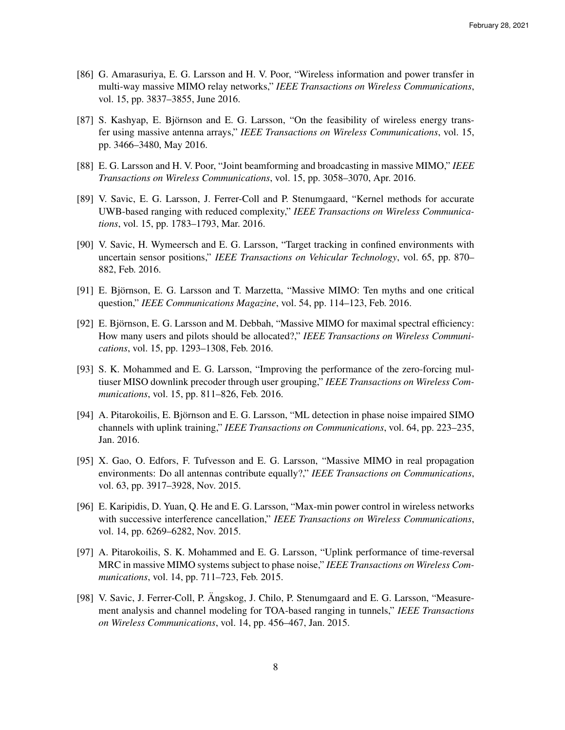- [86] G. Amarasuriya, E. G. Larsson and H. V. Poor, "Wireless information and power transfer in multi-way massive MIMO relay networks," *IEEE Transactions on Wireless Communications*, vol. 15, pp. 3837–3855, June 2016.
- [87] S. Kashyap, E. Björnson and E. G. Larsson, "On the feasibility of wireless energy transfer using massive antenna arrays," *IEEE Transactions on Wireless Communications*, vol. 15, pp. 3466–3480, May 2016.
- [88] E. G. Larsson and H. V. Poor, "Joint beamforming and broadcasting in massive MIMO," *IEEE Transactions on Wireless Communications*, vol. 15, pp. 3058–3070, Apr. 2016.
- [89] V. Savic, E. G. Larsson, J. Ferrer-Coll and P. Stenumgaard, "Kernel methods for accurate UWB-based ranging with reduced complexity," *IEEE Transactions on Wireless Communications*, vol. 15, pp. 1783–1793, Mar. 2016.
- [90] V. Savic, H. Wymeersch and E. G. Larsson, "Target tracking in confined environments with uncertain sensor positions," *IEEE Transactions on Vehicular Technology*, vol. 65, pp. 870– 882, Feb. 2016.
- [91] E. Björnson, E. G. Larsson and T. Marzetta, "Massive MIMO: Ten myths and one critical question," *IEEE Communications Magazine*, vol. 54, pp. 114–123, Feb. 2016.
- [92] E. Björnson, E. G. Larsson and M. Debbah, "Massive MIMO for maximal spectral efficiency: How many users and pilots should be allocated?," *IEEE Transactions on Wireless Communications*, vol. 15, pp. 1293–1308, Feb. 2016.
- [93] S. K. Mohammed and E. G. Larsson, "Improving the performance of the zero-forcing multiuser MISO downlink precoder through user grouping," *IEEE Transactions on Wireless Communications*, vol. 15, pp. 811–826, Feb. 2016.
- [94] A. Pitarokoilis, E. Björnson and E. G. Larsson, "ML detection in phase noise impaired SIMO channels with uplink training," *IEEE Transactions on Communications*, vol. 64, pp. 223–235, Jan. 2016.
- [95] X. Gao, O. Edfors, F. Tufvesson and E. G. Larsson, "Massive MIMO in real propagation environments: Do all antennas contribute equally?," *IEEE Transactions on Communications*, vol. 63, pp. 3917–3928, Nov. 2015.
- [96] E. Karipidis, D. Yuan, Q. He and E. G. Larsson, "Max-min power control in wireless networks with successive interference cancellation," *IEEE Transactions on Wireless Communications*, vol. 14, pp. 6269–6282, Nov. 2015.
- [97] A. Pitarokoilis, S. K. Mohammed and E. G. Larsson, "Uplink performance of time-reversal MRC in massive MIMO systems subject to phase noise," *IEEE Transactions on Wireless Communications*, vol. 14, pp. 711–723, Feb. 2015.
- [98] V. Savic, J. Ferrer-Coll, P. Angskog, J. Chilo, P. Stenumgaard and E. G. Larsson, "Measurement analysis and channel modeling for TOA-based ranging in tunnels," *IEEE Transactions on Wireless Communications*, vol. 14, pp. 456–467, Jan. 2015.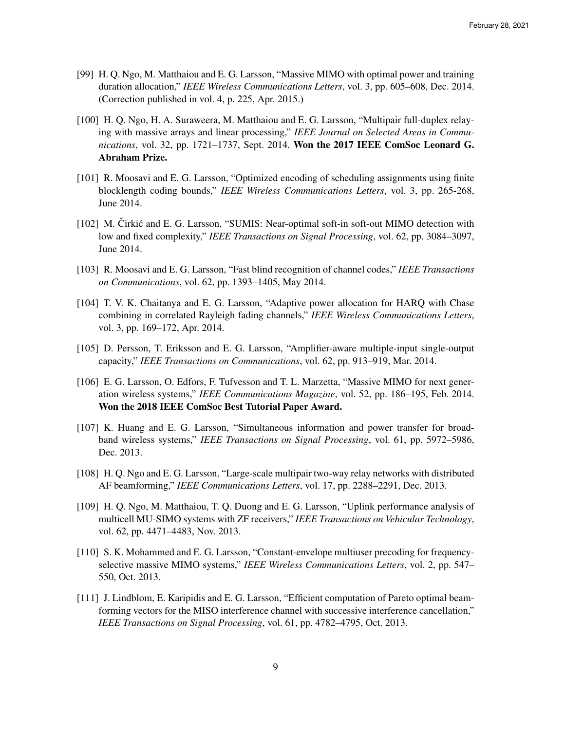- [99] H. Q. Ngo, M. Matthaiou and E. G. Larsson, "Massive MIMO with optimal power and training duration allocation," *IEEE Wireless Communications Letters*, vol. 3, pp. 605–608, Dec. 2014. (Correction published in vol. 4, p. 225, Apr. 2015.)
- [100] H. Q. Ngo, H. A. Suraweera, M. Matthaiou and E. G. Larsson, "Multipair full-duplex relaying with massive arrays and linear processing," *IEEE Journal on Selected Areas in Communications*, vol. 32, pp. 1721–1737, Sept. 2014. Won the 2017 IEEE ComSoc Leonard G. Abraham Prize.
- [101] R. Moosavi and E. G. Larsson, "Optimized encoding of scheduling assignments using finite blocklength coding bounds," *IEEE Wireless Communications Letters*, vol. 3, pp. 265-268, June 2014.
- [102] M. Cirkić and E. G. Larsson, "SUMIS: Near-optimal soft-in soft-out MIMO detection with low and fixed complexity," *IEEE Transactions on Signal Processing*, vol. 62, pp. 3084–3097, June 2014.
- [103] R. Moosavi and E. G. Larsson, "Fast blind recognition of channel codes," *IEEE Transactions on Communications*, vol. 62, pp. 1393–1405, May 2014.
- [104] T. V. K. Chaitanya and E. G. Larsson, "Adaptive power allocation for HARQ with Chase combining in correlated Rayleigh fading channels," *IEEE Wireless Communications Letters*, vol. 3, pp. 169–172, Apr. 2014.
- [105] D. Persson, T. Eriksson and E. G. Larsson, "Amplifier-aware multiple-input single-output capacity," *IEEE Transactions on Communications*, vol. 62, pp. 913–919, Mar. 2014.
- [106] E. G. Larsson, O. Edfors, F. Tufvesson and T. L. Marzetta, "Massive MIMO for next generation wireless systems," *IEEE Communications Magazine*, vol. 52, pp. 186–195, Feb. 2014. Won the 2018 IEEE ComSoc Best Tutorial Paper Award.
- [107] K. Huang and E. G. Larsson, "Simultaneous information and power transfer for broadband wireless systems," *IEEE Transactions on Signal Processing*, vol. 61, pp. 5972–5986, Dec. 2013.
- [108] H. O. Ngo and E. G. Larsson, "Large-scale multipair two-way relay networks with distributed AF beamforming," *IEEE Communications Letters*, vol. 17, pp. 2288–2291, Dec. 2013.
- [109] H. Q. Ngo, M. Matthaiou, T. Q. Duong and E. G. Larsson, "Uplink performance analysis of multicell MU-SIMO systems with ZF receivers," *IEEE Transactions on Vehicular Technology*, vol. 62, pp. 4471–4483, Nov. 2013.
- [110] S. K. Mohammed and E. G. Larsson, "Constant-envelope multiuser precoding for frequencyselective massive MIMO systems," *IEEE Wireless Communications Letters*, vol. 2, pp. 547– 550, Oct. 2013.
- [111] J. Lindblom, E. Karipidis and E. G. Larsson, "Efficient computation of Pareto optimal beamforming vectors for the MISO interference channel with successive interference cancellation," *IEEE Transactions on Signal Processing*, vol. 61, pp. 4782–4795, Oct. 2013.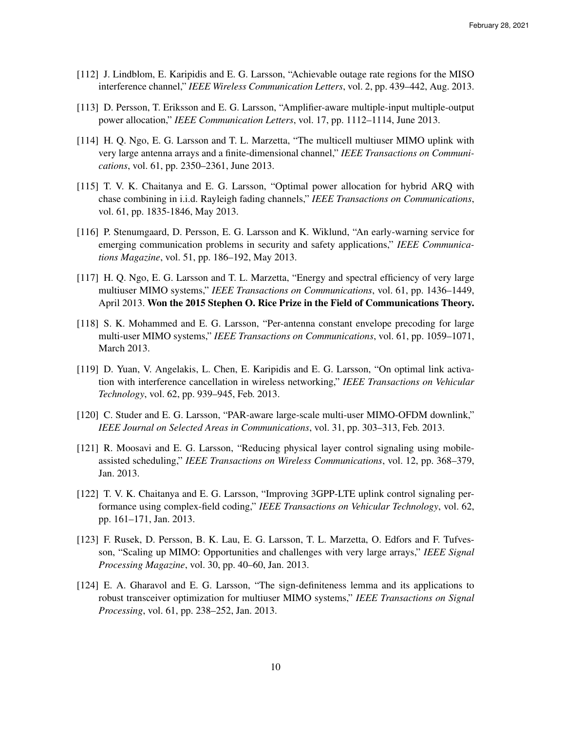- [112] J. Lindblom, E. Karipidis and E. G. Larsson, "Achievable outage rate regions for the MISO interference channel," *IEEE Wireless Communication Letters*, vol. 2, pp. 439–442, Aug. 2013.
- [113] D. Persson, T. Eriksson and E. G. Larsson, "Amplifier-aware multiple-input multiple-output power allocation," *IEEE Communication Letters*, vol. 17, pp. 1112–1114, June 2013.
- [114] H. Q. Ngo, E. G. Larsson and T. L. Marzetta, "The multicell multiuser MIMO uplink with very large antenna arrays and a finite-dimensional channel," *IEEE Transactions on Communications*, vol. 61, pp. 2350–2361, June 2013.
- [115] T. V. K. Chaitanya and E. G. Larsson, "Optimal power allocation for hybrid ARQ with chase combining in i.i.d. Rayleigh fading channels," *IEEE Transactions on Communications*, vol. 61, pp. 1835-1846, May 2013.
- [116] P. Stenumgaard, D. Persson, E. G. Larsson and K. Wiklund, "An early-warning service for emerging communication problems in security and safety applications," *IEEE Communications Magazine*, vol. 51, pp. 186–192, May 2013.
- [117] H. Q. Ngo, E. G. Larsson and T. L. Marzetta, "Energy and spectral efficiency of very large multiuser MIMO systems," *IEEE Transactions on Communications*, vol. 61, pp. 1436–1449, April 2013. Won the 2015 Stephen O. Rice Prize in the Field of Communications Theory.
- [118] S. K. Mohammed and E. G. Larsson, "Per-antenna constant envelope precoding for large multi-user MIMO systems," *IEEE Transactions on Communications*, vol. 61, pp. 1059–1071, March 2013.
- [119] D. Yuan, V. Angelakis, L. Chen, E. Karipidis and E. G. Larsson, "On optimal link activation with interference cancellation in wireless networking," *IEEE Transactions on Vehicular Technology*, vol. 62, pp. 939–945, Feb. 2013.
- [120] C. Studer and E. G. Larsson, "PAR-aware large-scale multi-user MIMO-OFDM downlink," *IEEE Journal on Selected Areas in Communications*, vol. 31, pp. 303–313, Feb. 2013.
- [121] R. Moosavi and E. G. Larsson, "Reducing physical layer control signaling using mobileassisted scheduling," *IEEE Transactions on Wireless Communications*, vol. 12, pp. 368–379, Jan. 2013.
- [122] T. V. K. Chaitanya and E. G. Larsson, "Improving 3GPP-LTE uplink control signaling performance using complex-field coding," *IEEE Transactions on Vehicular Technology*, vol. 62, pp. 161–171, Jan. 2013.
- [123] F. Rusek, D. Persson, B. K. Lau, E. G. Larsson, T. L. Marzetta, O. Edfors and F. Tufvesson, "Scaling up MIMO: Opportunities and challenges with very large arrays," *IEEE Signal Processing Magazine*, vol. 30, pp. 40–60, Jan. 2013.
- [124] E. A. Gharavol and E. G. Larsson, "The sign-definiteness lemma and its applications to robust transceiver optimization for multiuser MIMO systems," *IEEE Transactions on Signal Processing*, vol. 61, pp. 238–252, Jan. 2013.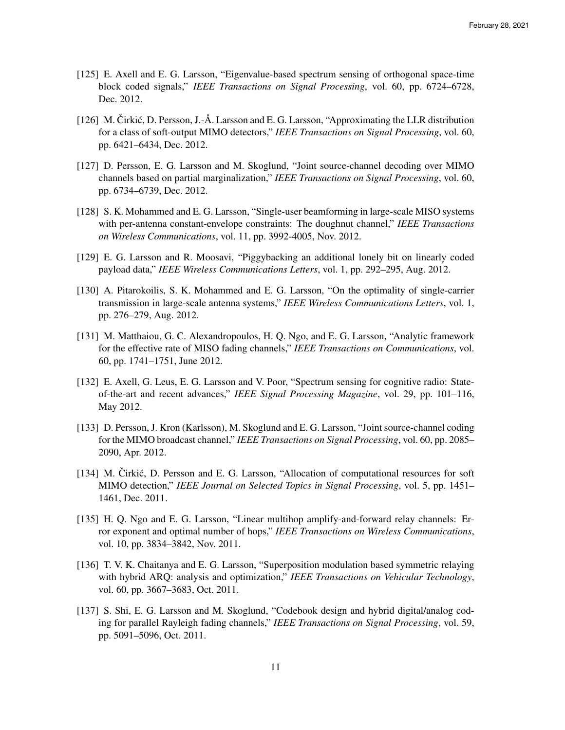- [125] E. Axell and E. G. Larsson, "Eigenvalue-based spectrum sensing of orthogonal space-time block coded signals," *IEEE Transactions on Signal Processing*, vol. 60, pp. 6724–6728, Dec. 2012.
- [126] M. Čirkić, D. Persson, J.-Å. Larsson and E. G. Larsson, "Approximating the LLR distribution for a class of soft-output MIMO detectors," *IEEE Transactions on Signal Processing*, vol. 60, pp. 6421–6434, Dec. 2012.
- [127] D. Persson, E. G. Larsson and M. Skoglund, "Joint source-channel decoding over MIMO channels based on partial marginalization," *IEEE Transactions on Signal Processing*, vol. 60, pp. 6734–6739, Dec. 2012.
- [128] S. K. Mohammed and E. G. Larsson, "Single-user beamforming in large-scale MISO systems with per-antenna constant-envelope constraints: The doughnut channel," *IEEE Transactions on Wireless Communications*, vol. 11, pp. 3992-4005, Nov. 2012.
- [129] E. G. Larsson and R. Moosavi, "Piggybacking an additional lonely bit on linearly coded payload data," *IEEE Wireless Communications Letters*, vol. 1, pp. 292–295, Aug. 2012.
- [130] A. Pitarokoilis, S. K. Mohammed and E. G. Larsson, "On the optimality of single-carrier transmission in large-scale antenna systems," *IEEE Wireless Communications Letters*, vol. 1, pp. 276–279, Aug. 2012.
- [131] M. Matthaiou, G. C. Alexandropoulos, H. Q. Ngo, and E. G. Larsson, "Analytic framework for the effective rate of MISO fading channels," *IEEE Transactions on Communications*, vol. 60, pp. 1741–1751, June 2012.
- [132] E. Axell, G. Leus, E. G. Larsson and V. Poor, "Spectrum sensing for cognitive radio: Stateof-the-art and recent advances," *IEEE Signal Processing Magazine*, vol. 29, pp. 101–116, May 2012.
- [133] D. Persson, J. Kron (Karlsson), M. Skoglund and E. G. Larsson, "Joint source-channel coding for the MIMO broadcast channel," *IEEE Transactions on Signal Processing*, vol. 60, pp. 2085– 2090, Apr. 2012.
- [134] M. Čirkić, D. Persson and E. G. Larsson, "Allocation of computational resources for soft MIMO detection," *IEEE Journal on Selected Topics in Signal Processing*, vol. 5, pp. 1451– 1461, Dec. 2011.
- [135] H. Q. Ngo and E. G. Larsson, "Linear multihop amplify-and-forward relay channels: Error exponent and optimal number of hops," *IEEE Transactions on Wireless Communications*, vol. 10, pp. 3834–3842, Nov. 2011.
- [136] T. V. K. Chaitanya and E. G. Larsson, "Superposition modulation based symmetric relaying with hybrid ARQ: analysis and optimization," *IEEE Transactions on Vehicular Technology*, vol. 60, pp. 3667–3683, Oct. 2011.
- [137] S. Shi, E. G. Larsson and M. Skoglund, "Codebook design and hybrid digital/analog coding for parallel Rayleigh fading channels," *IEEE Transactions on Signal Processing*, vol. 59, pp. 5091–5096, Oct. 2011.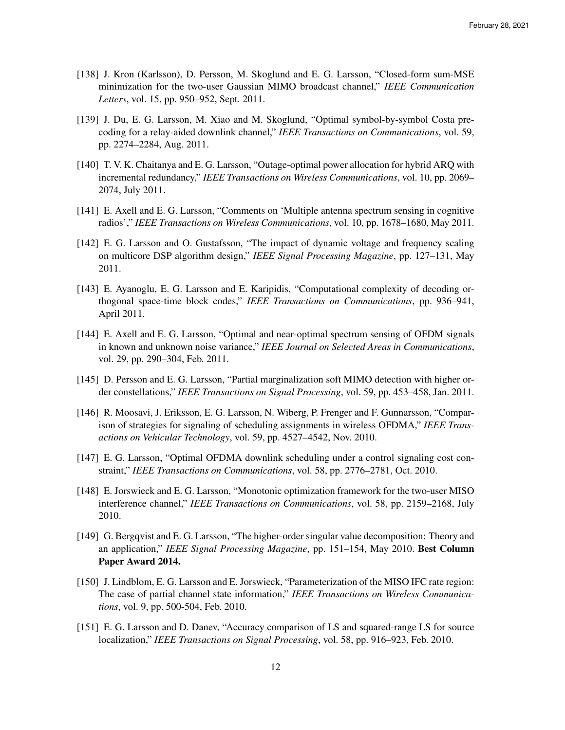- [138] J. Kron (Karlsson), D. Persson, M. Skoglund and E. G. Larsson, "Closed-form sum-MSE minimization for the two-user Gaussian MIMO broadcast channel," *IEEE Communication Letters*, vol. 15, pp. 950–952, Sept. 2011.
- [139] J. Du, E. G. Larsson, M. Xiao and M. Skoglund, "Optimal symbol-by-symbol Costa precoding for a relay-aided downlink channel," *IEEE Transactions on Communications*, vol. 59, pp. 2274–2284, Aug. 2011.
- [140] T. V. K. Chaitanya and E. G. Larsson, "Outage-optimal power allocation for hybrid ARQ with incremental redundancy," *IEEE Transactions on Wireless Communications*, vol. 10, pp. 2069– 2074, July 2011.
- [141] E. Axell and E. G. Larsson, "Comments on 'Multiple antenna spectrum sensing in cognitive radios'," *IEEE Transactions on Wireless Communications*, vol. 10, pp. 1678–1680, May 2011.
- [142] E. G. Larsson and O. Gustafsson, "The impact of dynamic voltage and frequency scaling on multicore DSP algorithm design," *IEEE Signal Processing Magazine*, pp. 127–131, May 2011.
- [143] E. Ayanoglu, E. G. Larsson and E. Karipidis, "Computational complexity of decoding orthogonal space-time block codes," *IEEE Transactions on Communications*, pp. 936–941, April 2011.
- [144] E. Axell and E. G. Larsson, "Optimal and near-optimal spectrum sensing of OFDM signals in known and unknown noise variance," *IEEE Journal on Selected Areas in Communications*, vol. 29, pp. 290–304, Feb. 2011.
- [145] D. Persson and E. G. Larsson, "Partial marginalization soft MIMO detection with higher order constellations," *IEEE Transactions on Signal Processing*, vol. 59, pp. 453–458, Jan. 2011.
- [146] R. Moosavi, J. Eriksson, E. G. Larsson, N. Wiberg, P. Frenger and F. Gunnarsson, "Comparison of strategies for signaling of scheduling assignments in wireless OFDMA," *IEEE Transactions on Vehicular Technology*, vol. 59, pp. 4527–4542, Nov. 2010.
- [147] E. G. Larsson, "Optimal OFDMA downlink scheduling under a control signaling cost constraint," *IEEE Transactions on Communications*, vol. 58, pp. 2776–2781, Oct. 2010.
- [148] E. Jorswieck and E. G. Larsson, "Monotonic optimization framework for the two-user MISO interference channel," *IEEE Transactions on Communications*, vol. 58, pp. 2159–2168, July 2010.
- [149] G. Bergqvist and E. G. Larsson, "The higher-order singular value decomposition: Theory and an application," *IEEE Signal Processing Magazine*, pp. 151–154, May 2010. Best Column Paper Award 2014.
- [150] J. Lindblom, E. G. Larsson and E. Jorswieck, "Parameterization of the MISO IFC rate region: The case of partial channel state information," *IEEE Transactions on Wireless Communications*, vol. 9, pp. 500-504, Feb. 2010.
- [151] E. G. Larsson and D. Danev, "Accuracy comparison of LS and squared-range LS for source localization," *IEEE Transactions on Signal Processing*, vol. 58, pp. 916–923, Feb. 2010.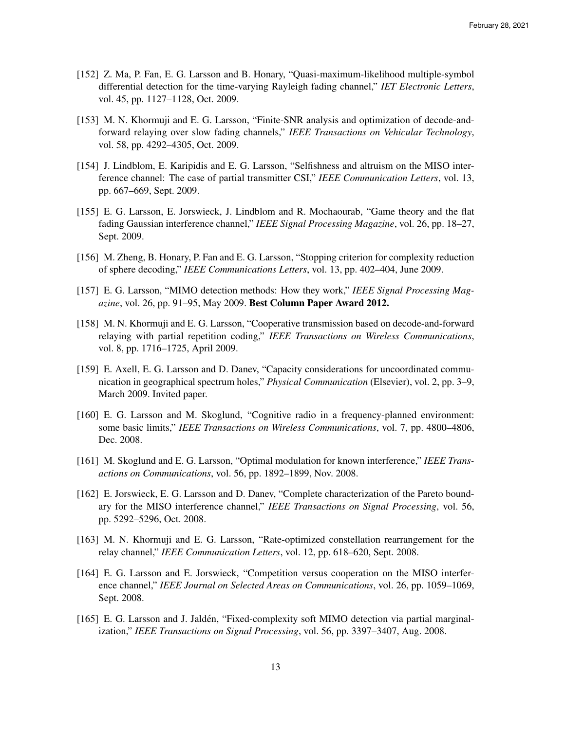- [152] Z. Ma, P. Fan, E. G. Larsson and B. Honary, "Quasi-maximum-likelihood multiple-symbol differential detection for the time-varying Rayleigh fading channel," *IET Electronic Letters*, vol. 45, pp. 1127–1128, Oct. 2009.
- [153] M. N. Khormuji and E. G. Larsson, "Finite-SNR analysis and optimization of decode-andforward relaying over slow fading channels," *IEEE Transactions on Vehicular Technology*, vol. 58, pp. 4292–4305, Oct. 2009.
- [154] J. Lindblom, E. Karipidis and E. G. Larsson, "Selfishness and altruism on the MISO interference channel: The case of partial transmitter CSI," *IEEE Communication Letters*, vol. 13, pp. 667–669, Sept. 2009.
- [155] E. G. Larsson, E. Jorswieck, J. Lindblom and R. Mochaourab, "Game theory and the flat fading Gaussian interference channel," *IEEE Signal Processing Magazine*, vol. 26, pp. 18–27, Sept. 2009.
- [156] M. Zheng, B. Honary, P. Fan and E. G. Larsson, "Stopping criterion for complexity reduction of sphere decoding," *IEEE Communications Letters*, vol. 13, pp. 402–404, June 2009.
- [157] E. G. Larsson, "MIMO detection methods: How they work," *IEEE Signal Processing Magazine*, vol. 26, pp. 91–95, May 2009. Best Column Paper Award 2012.
- [158] M. N. Khormuji and E. G. Larsson, "Cooperative transmission based on decode-and-forward relaying with partial repetition coding," *IEEE Transactions on Wireless Communications*, vol. 8, pp. 1716–1725, April 2009.
- [159] E. Axell, E. G. Larsson and D. Danev, "Capacity considerations for uncoordinated communication in geographical spectrum holes," *Physical Communication* (Elsevier), vol. 2, pp. 3–9, March 2009. Invited paper.
- [160] E. G. Larsson and M. Skoglund, "Cognitive radio in a frequency-planned environment: some basic limits," *IEEE Transactions on Wireless Communications*, vol. 7, pp. 4800–4806, Dec. 2008.
- [161] M. Skoglund and E. G. Larsson, "Optimal modulation for known interference," *IEEE Transactions on Communications*, vol. 56, pp. 1892–1899, Nov. 2008.
- [162] E. Jorswieck, E. G. Larsson and D. Danev, "Complete characterization of the Pareto boundary for the MISO interference channel," *IEEE Transactions on Signal Processing*, vol. 56, pp. 5292–5296, Oct. 2008.
- [163] M. N. Khormuji and E. G. Larsson, "Rate-optimized constellation rearrangement for the relay channel," *IEEE Communication Letters*, vol. 12, pp. 618–620, Sept. 2008.
- [164] E. G. Larsson and E. Jorswieck, "Competition versus cooperation on the MISO interference channel," *IEEE Journal on Selected Areas on Communications*, vol. 26, pp. 1059–1069, Sept. 2008.
- [165] E. G. Larsson and J. Jaldén, "Fixed-complexity soft MIMO detection via partial marginalization," *IEEE Transactions on Signal Processing*, vol. 56, pp. 3397–3407, Aug. 2008.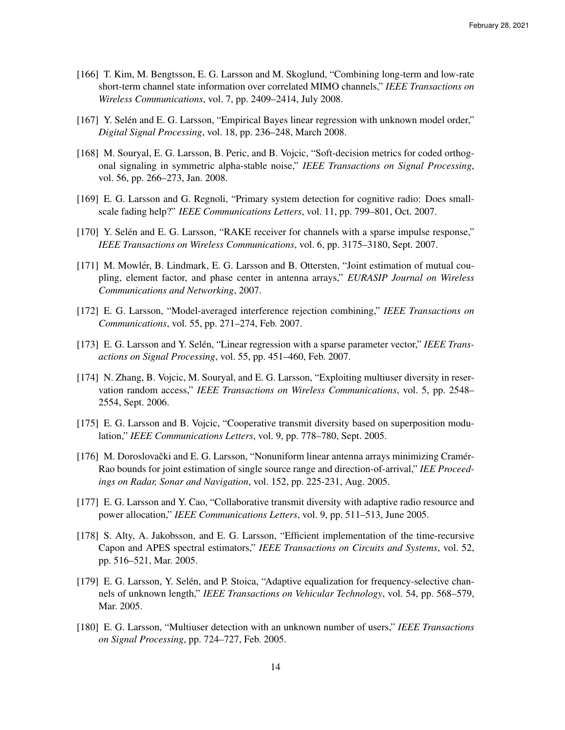- [166] T. Kim, M. Bengtsson, E. G. Larsson and M. Skoglund, "Combining long-term and low-rate short-term channel state information over correlated MIMO channels," *IEEE Transactions on Wireless Communications*, vol. 7, pp. 2409–2414, July 2008.
- [167] Y. Selén and E. G. Larsson, "Empirical Bayes linear regression with unknown model order," *Digital Signal Processing*, vol. 18, pp. 236–248, March 2008.
- [168] M. Souryal, E. G. Larsson, B. Peric, and B. Vojcic, "Soft-decision metrics for coded orthogonal signaling in symmetric alpha-stable noise," *IEEE Transactions on Signal Processing*, vol. 56, pp. 266–273, Jan. 2008.
- [169] E. G. Larsson and G. Regnoli, "Primary system detection for cognitive radio: Does smallscale fading help?" *IEEE Communications Letters*, vol. 11, pp. 799–801, Oct. 2007.
- [170] Y. Selén and E. G. Larsson, "RAKE receiver for channels with a sparse impulse response," *IEEE Transactions on Wireless Communications*, vol. 6, pp. 3175–3180, Sept. 2007.
- [171] M. Mowlér, B. Lindmark, E. G. Larsson and B. Ottersten, "Joint estimation of mutual coupling, element factor, and phase center in antenna arrays," *EURASIP Journal on Wireless Communications and Networking*, 2007.
- [172] E. G. Larsson, "Model-averaged interference rejection combining," *IEEE Transactions on Communications*, vol. 55, pp. 271–274, Feb. 2007.
- [173] E. G. Larsson and Y. Selén, "Linear regression with a sparse parameter vector," *IEEE Transactions on Signal Processing*, vol. 55, pp. 451–460, Feb. 2007.
- [174] N. Zhang, B. Vojcic, M. Souryal, and E. G. Larsson, "Exploiting multiuser diversity in reservation random access," *IEEE Transactions on Wireless Communications*, vol. 5, pp. 2548– 2554, Sept. 2006.
- [175] E. G. Larsson and B. Vojcic, "Cooperative transmit diversity based on superposition modulation," *IEEE Communications Letters*, vol. 9, pp. 778–780, Sept. 2005.
- [176] M. Doroslovački and E. G. Larsson, "Nonuniform linear antenna arrays minimizing Cramér-Rao bounds for joint estimation of single source range and direction-of-arrival," *IEE Proceedings on Radar, Sonar and Navigation*, vol. 152, pp. 225-231, Aug. 2005.
- [177] E. G. Larsson and Y. Cao, "Collaborative transmit diversity with adaptive radio resource and power allocation," *IEEE Communications Letters*, vol. 9, pp. 511–513, June 2005.
- [178] S. Alty, A. Jakobsson, and E. G. Larsson, "Efficient implementation of the time-recursive Capon and APES spectral estimators," *IEEE Transactions on Circuits and Systems*, vol. 52, pp. 516–521, Mar. 2005.
- [179] E. G. Larsson, Y. Selén, and P. Stoica, "Adaptive equalization for frequency-selective channels of unknown length," *IEEE Transactions on Vehicular Technology*, vol. 54, pp. 568–579, Mar. 2005.
- [180] E. G. Larsson, "Multiuser detection with an unknown number of users," *IEEE Transactions on Signal Processing*, pp. 724–727, Feb. 2005.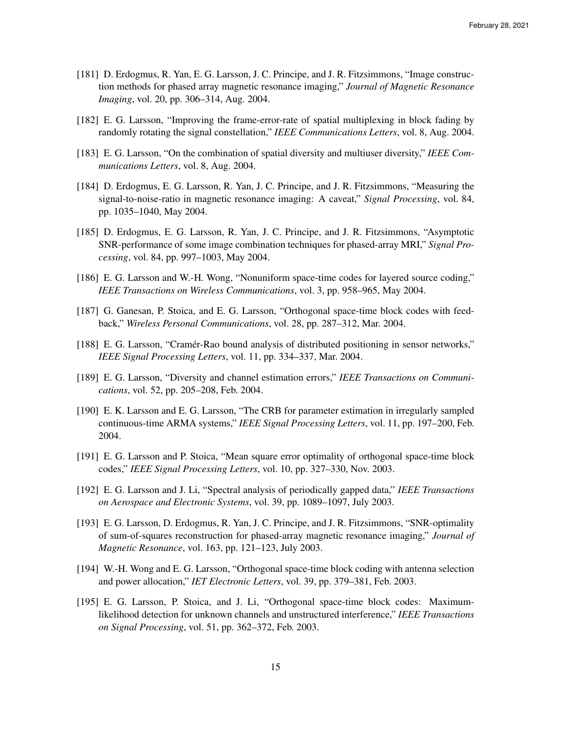- [181] D. Erdogmus, R. Yan, E. G. Larsson, J. C. Principe, and J. R. Fitzsimmons, "Image construction methods for phased array magnetic resonance imaging," *Journal of Magnetic Resonance Imaging*, vol. 20, pp. 306–314, Aug. 2004.
- [182] E. G. Larsson, "Improving the frame-error-rate of spatial multiplexing in block fading by randomly rotating the signal constellation," *IEEE Communications Letters*, vol. 8, Aug. 2004.
- [183] E. G. Larsson, "On the combination of spatial diversity and multiuser diversity," *IEEE Communications Letters*, vol. 8, Aug. 2004.
- [184] D. Erdogmus, E. G. Larsson, R. Yan, J. C. Principe, and J. R. Fitzsimmons, "Measuring the signal-to-noise-ratio in magnetic resonance imaging: A caveat," *Signal Processing*, vol. 84, pp. 1035–1040, May 2004.
- [185] D. Erdogmus, E. G. Larsson, R. Yan, J. C. Principe, and J. R. Fitzsimmons, "Asymptotic SNR-performance of some image combination techniques for phased-array MRI," *Signal Processing*, vol. 84, pp. 997–1003, May 2004.
- [186] E. G. Larsson and W.-H. Wong, "Nonuniform space-time codes for layered source coding," *IEEE Transactions on Wireless Communications*, vol. 3, pp. 958–965, May 2004.
- [187] G. Ganesan, P. Stoica, and E. G. Larsson, "Orthogonal space-time block codes with feedback," *Wireless Personal Communications*, vol. 28, pp. 287–312, Mar. 2004.
- [188] E. G. Larsson, "Cramér-Rao bound analysis of distributed positioning in sensor networks," *IEEE Signal Processing Letters*, vol. 11, pp. 334–337, Mar. 2004.
- [189] E. G. Larsson, "Diversity and channel estimation errors," *IEEE Transactions on Communications*, vol. 52, pp. 205–208, Feb. 2004.
- [190] E. K. Larsson and E. G. Larsson, "The CRB for parameter estimation in irregularly sampled continuous-time ARMA systems," *IEEE Signal Processing Letters*, vol. 11, pp. 197–200, Feb. 2004.
- [191] E. G. Larsson and P. Stoica, "Mean square error optimality of orthogonal space-time block codes," *IEEE Signal Processing Letters*, vol. 10, pp. 327–330, Nov. 2003.
- [192] E. G. Larsson and J. Li, "Spectral analysis of periodically gapped data," *IEEE Transactions on Aerospace and Electronic Systems*, vol. 39, pp. 1089–1097, July 2003.
- [193] E. G. Larsson, D. Erdogmus, R. Yan, J. C. Principe, and J. R. Fitzsimmons, "SNR-optimality of sum-of-squares reconstruction for phased-array magnetic resonance imaging," *Journal of Magnetic Resonance*, vol. 163, pp. 121–123, July 2003.
- [194] W.-H. Wong and E. G. Larsson, "Orthogonal space-time block coding with antenna selection and power allocation," *IET Electronic Letters*, vol. 39, pp. 379–381, Feb. 2003.
- [195] E. G. Larsson, P. Stoica, and J. Li, "Orthogonal space-time block codes: Maximumlikelihood detection for unknown channels and unstructured interference," *IEEE Transactions on Signal Processing*, vol. 51, pp. 362–372, Feb. 2003.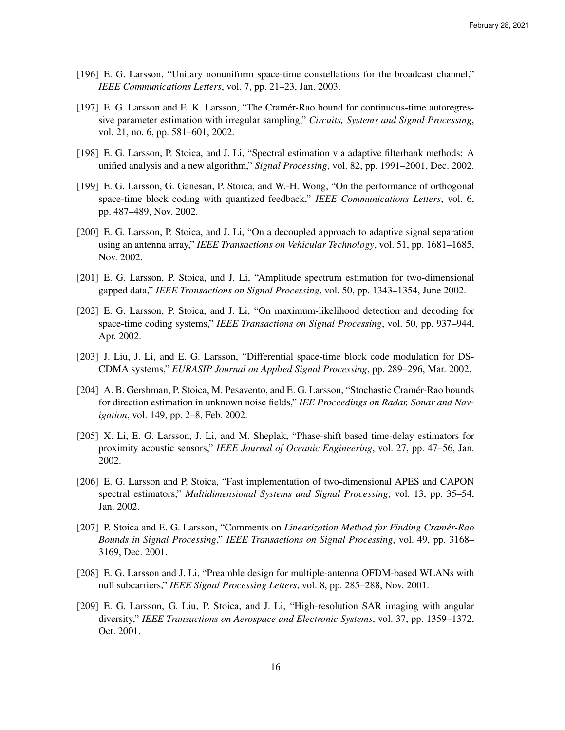- [196] E. G. Larsson, "Unitary nonuniform space-time constellations for the broadcast channel," *IEEE Communications Letters*, vol. 7, pp. 21–23, Jan. 2003.
- [197] E. G. Larsson and E. K. Larsson, "The Cramér-Rao bound for continuous-time autoregressive parameter estimation with irregular sampling," *Circuits, Systems and Signal Processing*, vol. 21, no. 6, pp. 581–601, 2002.
- [198] E. G. Larsson, P. Stoica, and J. Li, "Spectral estimation via adaptive filterbank methods: A unified analysis and a new algorithm," *Signal Processing*, vol. 82, pp. 1991–2001, Dec. 2002.
- [199] E. G. Larsson, G. Ganesan, P. Stoica, and W.-H. Wong, "On the performance of orthogonal space-time block coding with quantized feedback," *IEEE Communications Letters*, vol. 6, pp. 487–489, Nov. 2002.
- [200] E. G. Larsson, P. Stoica, and J. Li, "On a decoupled approach to adaptive signal separation using an antenna array," *IEEE Transactions on Vehicular Technology*, vol. 51, pp. 1681–1685, Nov. 2002.
- [201] E. G. Larsson, P. Stoica, and J. Li, "Amplitude spectrum estimation for two-dimensional gapped data," *IEEE Transactions on Signal Processing*, vol. 50, pp. 1343–1354, June 2002.
- [202] E. G. Larsson, P. Stoica, and J. Li, "On maximum-likelihood detection and decoding for space-time coding systems," *IEEE Transactions on Signal Processing*, vol. 50, pp. 937–944, Apr. 2002.
- [203] J. Liu, J. Li, and E. G. Larsson, "Differential space-time block code modulation for DS-CDMA systems," *EURASIP Journal on Applied Signal Processing*, pp. 289–296, Mar. 2002.
- [204] A. B. Gershman, P. Stoica, M. Pesavento, and E. G. Larsson, "Stochastic Cramér-Rao bounds for direction estimation in unknown noise fields," *IEE Proceedings on Radar, Sonar and Navigation*, vol. 149, pp. 2–8, Feb. 2002.
- [205] X. Li, E. G. Larsson, J. Li, and M. Sheplak, "Phase-shift based time-delay estimators for proximity acoustic sensors," *IEEE Journal of Oceanic Engineering*, vol. 27, pp. 47–56, Jan. 2002.
- [206] E. G. Larsson and P. Stoica, "Fast implementation of two-dimensional APES and CAPON spectral estimators," *Multidimensional Systems and Signal Processing*, vol. 13, pp. 35–54, Jan. 2002.
- [207] P. Stoica and E. G. Larsson, "Comments on *Linearization Method for Finding Cramer-Rao ´ Bounds in Signal Processing*," *IEEE Transactions on Signal Processing*, vol. 49, pp. 3168– 3169, Dec. 2001.
- [208] E. G. Larsson and J. Li, "Preamble design for multiple-antenna OFDM-based WLANs with null subcarriers," *IEEE Signal Processing Letters*, vol. 8, pp. 285–288, Nov. 2001.
- [209] E. G. Larsson, G. Liu, P. Stoica, and J. Li, "High-resolution SAR imaging with angular diversity," *IEEE Transactions on Aerospace and Electronic Systems*, vol. 37, pp. 1359–1372, Oct. 2001.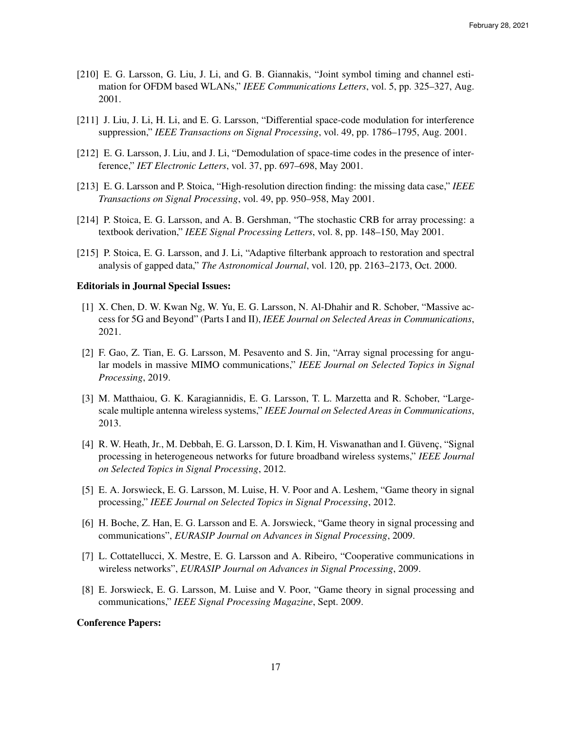- [210] E. G. Larsson, G. Liu, J. Li, and G. B. Giannakis, "Joint symbol timing and channel estimation for OFDM based WLANs," *IEEE Communications Letters*, vol. 5, pp. 325–327, Aug. 2001.
- [211] J. Liu, J. Li, H. Li, and E. G. Larsson, "Differential space-code modulation for interference suppression," *IEEE Transactions on Signal Processing*, vol. 49, pp. 1786–1795, Aug. 2001.
- [212] E. G. Larsson, J. Liu, and J. Li, "Demodulation of space-time codes in the presence of interference," *IET Electronic Letters*, vol. 37, pp. 697–698, May 2001.
- [213] E. G. Larsson and P. Stoica, "High-resolution direction finding: the missing data case," *IEEE Transactions on Signal Processing*, vol. 49, pp. 950–958, May 2001.
- [214] P. Stoica, E. G. Larsson, and A. B. Gershman, "The stochastic CRB for array processing: a textbook derivation," *IEEE Signal Processing Letters*, vol. 8, pp. 148–150, May 2001.
- [215] P. Stoica, E. G. Larsson, and J. Li, "Adaptive filterbank approach to restoration and spectral analysis of gapped data," *The Astronomical Journal*, vol. 120, pp. 2163–2173, Oct. 2000.

#### Editorials in Journal Special Issues:

- [1] X. Chen, D. W. Kwan Ng, W. Yu, E. G. Larsson, N. Al-Dhahir and R. Schober, "Massive access for 5G and Beyond" (Parts I and II), *IEEE Journal on Selected Areas in Communications*, 2021.
- [2] F. Gao, Z. Tian, E. G. Larsson, M. Pesavento and S. Jin, "Array signal processing for angular models in massive MIMO communications," *IEEE Journal on Selected Topics in Signal Processing*, 2019.
- [3] M. Matthaiou, G. K. Karagiannidis, E. G. Larsson, T. L. Marzetta and R. Schober, "Largescale multiple antenna wireless systems," *IEEE Journal on Selected Areas in Communications*, 2013.
- [4] R. W. Heath, Jr., M. Debbah, E. G. Larsson, D. I. Kim, H. Viswanathan and I. Güvenç, "Signal processing in heterogeneous networks for future broadband wireless systems," *IEEE Journal on Selected Topics in Signal Processing*, 2012.
- [5] E. A. Jorswieck, E. G. Larsson, M. Luise, H. V. Poor and A. Leshem, "Game theory in signal processing," *IEEE Journal on Selected Topics in Signal Processing*, 2012.
- [6] H. Boche, Z. Han, E. G. Larsson and E. A. Jorswieck, "Game theory in signal processing and communications", *EURASIP Journal on Advances in Signal Processing*, 2009.
- [7] L. Cottatellucci, X. Mestre, E. G. Larsson and A. Ribeiro, "Cooperative communications in wireless networks", *EURASIP Journal on Advances in Signal Processing*, 2009.
- [8] E. Jorswieck, E. G. Larsson, M. Luise and V. Poor, "Game theory in signal processing and communications," *IEEE Signal Processing Magazine*, Sept. 2009.

## Conference Papers: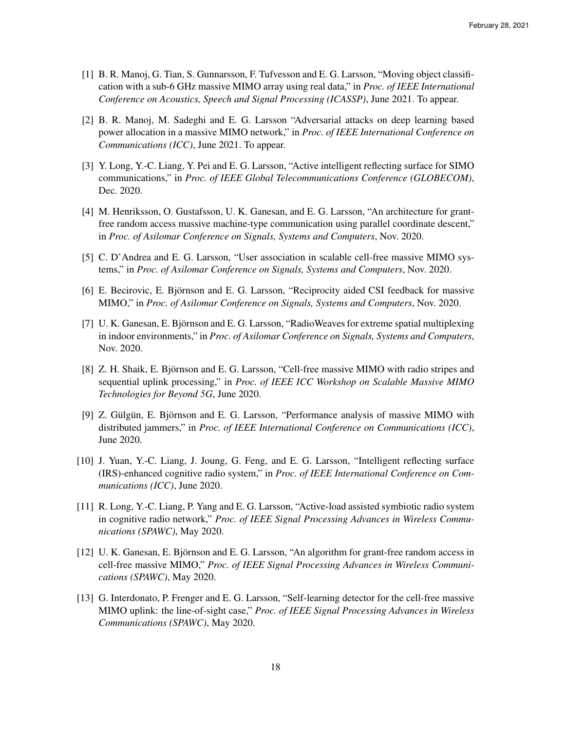- [1] B. R. Manoj, G. Tian, S. Gunnarsson, F. Tufvesson and E. G. Larsson, "Moving object classification with a sub-6 GHz massive MIMO array using real data," in *Proc. of IEEE International Conference on Acoustics, Speech and Signal Processing (ICASSP)*, June 2021. To appear.
- [2] B. R. Manoj, M. Sadeghi and E. G. Larsson "Adversarial attacks on deep learning based power allocation in a massive MIMO network," in *Proc. of IEEE International Conference on Communications (ICC)*, June 2021. To appear.
- [3] Y. Long, Y.-C. Liang, Y. Pei and E. G. Larsson, "Active intelligent reflecting surface for SIMO communications," in *Proc. of IEEE Global Telecommunications Conference (GLOBECOM)*, Dec. 2020.
- [4] M. Henriksson, O. Gustafsson, U. K. Ganesan, and E. G. Larsson, "An architecture for grantfree random access massive machine-type communication using parallel coordinate descent," in *Proc. of Asilomar Conference on Signals, Systems and Computers*, Nov. 2020.
- [5] C. D'Andrea and E. G. Larsson, "User association in scalable cell-free massive MIMO systems," in *Proc. of Asilomar Conference on Signals, Systems and Computers*, Nov. 2020.
- [6] E. Becirovic, E. Björnson and E. G. Larsson, "Reciprocity aided CSI feedback for massive MIMO," in *Proc. of Asilomar Conference on Signals, Systems and Computers*, Nov. 2020.
- [7] U. K. Ganesan, E. Björnson and E. G. Larsson, "RadioWeaves for extreme spatial multiplexing in indoor environments," in *Proc. of Asilomar Conference on Signals, Systems and Computers*, Nov. 2020.
- [8] Z. H. Shaik, E. Björnson and E. G. Larsson, "Cell-free massive MIMO with radio stripes and sequential uplink processing," in *Proc. of IEEE ICC Workshop on Scalable Massive MIMO Technologies for Beyond 5G*, June 2020.
- [9] Z. Gülgün, E. Björnson and E. G. Larsson, "Performance analysis of massive MIMO with distributed jammers," in *Proc. of IEEE International Conference on Communications (ICC)*, June 2020.
- [10] J. Yuan, Y.-C. Liang, J. Joung, G. Feng, and E. G. Larsson, "Intelligent reflecting surface (IRS)-enhanced cognitive radio system," in *Proc. of IEEE International Conference on Communications (ICC)*, June 2020.
- [11] R. Long, Y.-C. Liang, P. Yang and E. G. Larsson, "Active-load assisted symbiotic radio system in cognitive radio network," *Proc. of IEEE Signal Processing Advances in Wireless Communications (SPAWC)*, May 2020.
- [12] U. K. Ganesan, E. Björnson and E. G. Larsson, "An algorithm for grant-free random access in cell-free massive MIMO," *Proc. of IEEE Signal Processing Advances in Wireless Communications (SPAWC)*, May 2020.
- [13] G. Interdonato, P. Frenger and E. G. Larsson, "Self-learning detector for the cell-free massive MIMO uplink: the line-of-sight case," *Proc. of IEEE Signal Processing Advances in Wireless Communications (SPAWC)*, May 2020.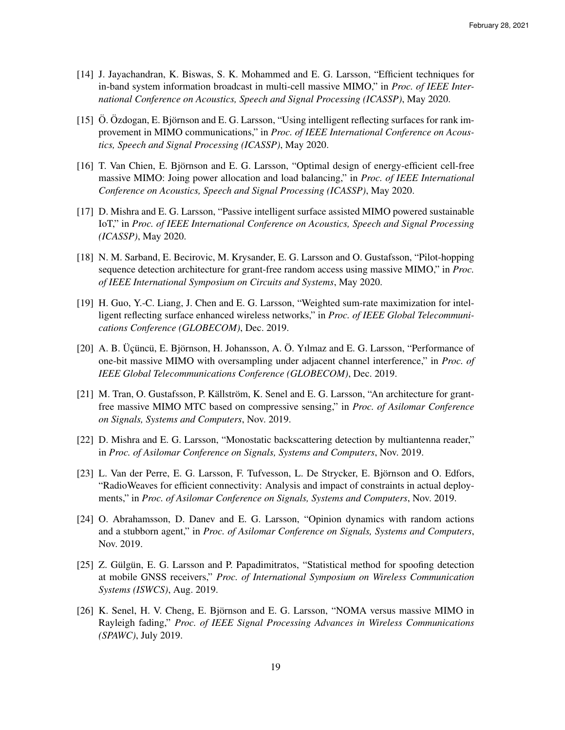- [14] J. Jayachandran, K. Biswas, S. K. Mohammed and E. G. Larsson, "Efficient techniques for in-band system information broadcast in multi-cell massive MIMO," in *Proc. of IEEE International Conference on Acoustics, Speech and Signal Processing (ICASSP)*, May 2020.
- [15] Ö. Özdogan, E. Björnson and E. G. Larsson, "Using intelligent reflecting surfaces for rank improvement in MIMO communications," in *Proc. of IEEE International Conference on Acoustics, Speech and Signal Processing (ICASSP)*, May 2020.
- [16] T. Van Chien, E. Björnson and E. G. Larsson, "Optimal design of energy-efficient cell-free massive MIMO: Joing power allocation and load balancing," in *Proc. of IEEE International Conference on Acoustics, Speech and Signal Processing (ICASSP)*, May 2020.
- [17] D. Mishra and E. G. Larsson, "Passive intelligent surface assisted MIMO powered sustainable IoT," in *Proc. of IEEE International Conference on Acoustics, Speech and Signal Processing (ICASSP)*, May 2020.
- [18] N. M. Sarband, E. Becirovic, M. Krysander, E. G. Larsson and O. Gustafsson, "Pilot-hopping sequence detection architecture for grant-free random access using massive MIMO," in *Proc. of IEEE International Symposium on Circuits and Systems*, May 2020.
- [19] H. Guo, Y.-C. Liang, J. Chen and E. G. Larsson, "Weighted sum-rate maximization for intelligent reflecting surface enhanced wireless networks," in *Proc. of IEEE Global Telecommunications Conference (GLOBECOM)*, Dec. 2019.
- [20] A. B. Üçüncü, E. Björnson, H. Johansson, A. Ö. Yılmaz and E. G. Larsson, "Performance of one-bit massive MIMO with oversampling under adjacent channel interference," in *Proc. of IEEE Global Telecommunications Conference (GLOBECOM)*, Dec. 2019.
- [21] M. Tran, O. Gustafsson, P. Källström, K. Senel and E. G. Larsson, "An architecture for grantfree massive MIMO MTC based on compressive sensing," in *Proc. of Asilomar Conference on Signals, Systems and Computers*, Nov. 2019.
- [22] D. Mishra and E. G. Larsson, "Monostatic backscattering detection by multiantenna reader," in *Proc. of Asilomar Conference on Signals, Systems and Computers*, Nov. 2019.
- [23] L. Van der Perre, E. G. Larsson, F. Tufvesson, L. De Strycker, E. Björnson and O. Edfors, "RadioWeaves for efficient connectivity: Analysis and impact of constraints in actual deployments," in *Proc. of Asilomar Conference on Signals, Systems and Computers*, Nov. 2019.
- [24] O. Abrahamsson, D. Danev and E. G. Larsson, "Opinion dynamics with random actions and a stubborn agent," in *Proc. of Asilomar Conference on Signals, Systems and Computers*, Nov. 2019.
- [25] Z. Gülgün, E. G. Larsson and P. Papadimitratos, "Statistical method for spoofing detection at mobile GNSS receivers," *Proc. of International Symposium on Wireless Communication Systems (ISWCS)*, Aug. 2019.
- [26] K. Senel, H. V. Cheng, E. Björnson and E. G. Larsson, "NOMA versus massive MIMO in Rayleigh fading," *Proc. of IEEE Signal Processing Advances in Wireless Communications (SPAWC)*, July 2019.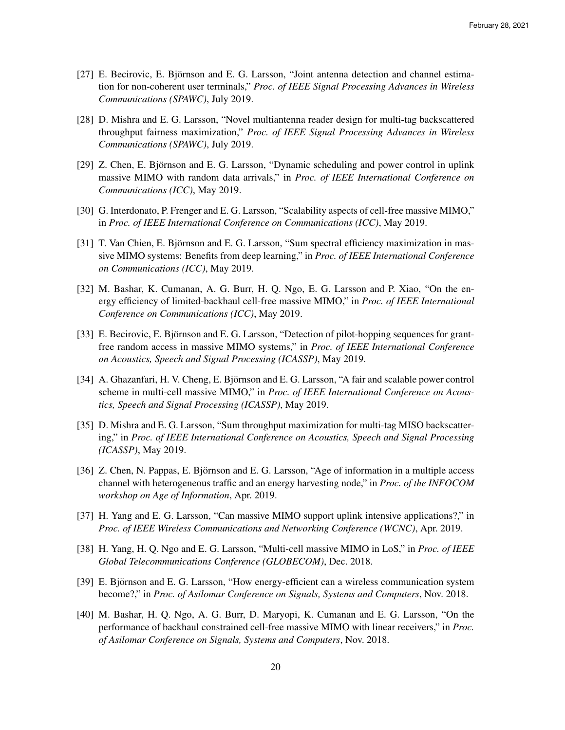- [27] E. Becirovic, E. Björnson and E. G. Larsson, "Joint antenna detection and channel estimation for non-coherent user terminals," *Proc. of IEEE Signal Processing Advances in Wireless Communications (SPAWC)*, July 2019.
- [28] D. Mishra and E. G. Larsson, "Novel multiantenna reader design for multi-tag backscattered throughput fairness maximization," *Proc. of IEEE Signal Processing Advances in Wireless Communications (SPAWC)*, July 2019.
- [29] Z. Chen, E. Björnson and E. G. Larsson, "Dynamic scheduling and power control in uplink massive MIMO with random data arrivals," in *Proc. of IEEE International Conference on Communications (ICC)*, May 2019.
- [30] G. Interdonato, P. Frenger and E. G. Larsson, "Scalability aspects of cell-free massive MIMO," in *Proc. of IEEE International Conference on Communications (ICC)*, May 2019.
- [31] T. Van Chien, E. Björnson and E. G. Larsson, "Sum spectral efficiency maximization in massive MIMO systems: Benefits from deep learning," in *Proc. of IEEE International Conference on Communications (ICC)*, May 2019.
- [32] M. Bashar, K. Cumanan, A. G. Burr, H. Q. Ngo, E. G. Larsson and P. Xiao, "On the energy efficiency of limited-backhaul cell-free massive MIMO," in *Proc. of IEEE International Conference on Communications (ICC)*, May 2019.
- [33] E. Becirovic, E. Björnson and E. G. Larsson, "Detection of pilot-hopping sequences for grantfree random access in massive MIMO systems," in *Proc. of IEEE International Conference on Acoustics, Speech and Signal Processing (ICASSP)*, May 2019.
- [34] A. Ghazanfari, H. V. Cheng, E. Björnson and E. G. Larsson, "A fair and scalable power control scheme in multi-cell massive MIMO," in *Proc. of IEEE International Conference on Acoustics, Speech and Signal Processing (ICASSP)*, May 2019.
- [35] D. Mishra and E. G. Larsson, "Sum throughput maximization for multi-tag MISO backscattering," in *Proc. of IEEE International Conference on Acoustics, Speech and Signal Processing (ICASSP)*, May 2019.
- [36] Z. Chen, N. Pappas, E. Björnson and E. G. Larsson, "Age of information in a multiple access channel with heterogeneous traffic and an energy harvesting node," in *Proc. of the INFOCOM workshop on Age of Information*, Apr. 2019.
- [37] H. Yang and E. G. Larsson, "Can massive MIMO support uplink intensive applications?," in *Proc. of IEEE Wireless Communications and Networking Conference (WCNC)*, Apr. 2019.
- [38] H. Yang, H. Q. Ngo and E. G. Larsson, "Multi-cell massive MIMO in LoS," in *Proc. of IEEE Global Telecommunications Conference (GLOBECOM)*, Dec. 2018.
- [39] E. Björnson and E. G. Larsson, "How energy-efficient can a wireless communication system become?," in *Proc. of Asilomar Conference on Signals, Systems and Computers*, Nov. 2018.
- [40] M. Bashar, H. Q. Ngo, A. G. Burr, D. Maryopi, K. Cumanan and E. G. Larsson, "On the performance of backhaul constrained cell-free massive MIMO with linear receivers," in *Proc. of Asilomar Conference on Signals, Systems and Computers*, Nov. 2018.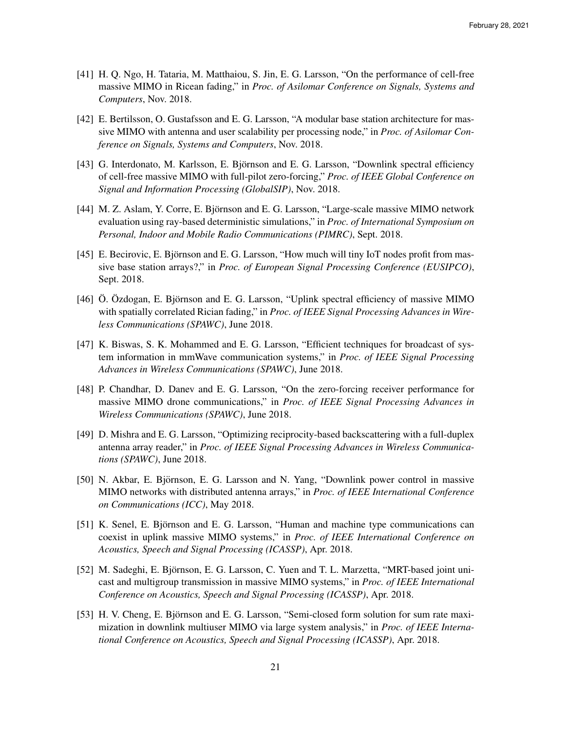- [41] H. Q. Ngo, H. Tataria, M. Matthaiou, S. Jin, E. G. Larsson, "On the performance of cell-free massive MIMO in Ricean fading," in *Proc. of Asilomar Conference on Signals, Systems and Computers*, Nov. 2018.
- [42] E. Bertilsson, O. Gustafsson and E. G. Larsson, "A modular base station architecture for massive MIMO with antenna and user scalability per processing node," in *Proc. of Asilomar Conference on Signals, Systems and Computers*, Nov. 2018.
- [43] G. Interdonato, M. Karlsson, E. Björnson and E. G. Larsson, "Downlink spectral efficiency of cell-free massive MIMO with full-pilot zero-forcing," *Proc. of IEEE Global Conference on Signal and Information Processing (GlobalSIP)*, Nov. 2018.
- [44] M. Z. Aslam, Y. Corre, E. Björnson and E. G. Larsson, "Large-scale massive MIMO network evaluation using ray-based deterministic simulations," in *Proc. of International Symposium on Personal, Indoor and Mobile Radio Communications (PIMRC)*, Sept. 2018.
- [45] E. Becirovic, E. Björnson and E. G. Larsson, "How much will tiny IoT nodes profit from massive base station arrays?," in *Proc. of European Signal Processing Conference (EUSIPCO)*, Sept. 2018.
- [46] Ö. Özdogan, E. Björnson and E. G. Larsson, "Uplink spectral efficiency of massive MIMO with spatially correlated Rician fading," in *Proc. of IEEE Signal Processing Advances in Wireless Communications (SPAWC)*, June 2018.
- [47] K. Biswas, S. K. Mohammed and E. G. Larsson, "Efficient techniques for broadcast of system information in mmWave communication systems," in *Proc. of IEEE Signal Processing Advances in Wireless Communications (SPAWC)*, June 2018.
- [48] P. Chandhar, D. Danev and E. G. Larsson, "On the zero-forcing receiver performance for massive MIMO drone communications," in *Proc. of IEEE Signal Processing Advances in Wireless Communications (SPAWC)*, June 2018.
- [49] D. Mishra and E. G. Larsson, "Optimizing reciprocity-based backscattering with a full-duplex antenna array reader," in *Proc. of IEEE Signal Processing Advances in Wireless Communications (SPAWC)*, June 2018.
- [50] N. Akbar, E. Bjornson, E. G. Larsson and N. Yang, "Downlink power control in massive ¨ MIMO networks with distributed antenna arrays," in *Proc. of IEEE International Conference on Communications (ICC)*, May 2018.
- [51] K. Senel, E. Bjornson and E. G. Larsson, "Human and machine type communications can ¨ coexist in uplink massive MIMO systems," in *Proc. of IEEE International Conference on Acoustics, Speech and Signal Processing (ICASSP)*, Apr. 2018.
- [52] M. Sadeghi, E. Björnson, E. G. Larsson, C. Yuen and T. L. Marzetta, "MRT-based joint unicast and multigroup transmission in massive MIMO systems," in *Proc. of IEEE International Conference on Acoustics, Speech and Signal Processing (ICASSP)*, Apr. 2018.
- [53] H. V. Cheng, E. Björnson and E. G. Larsson, "Semi-closed form solution for sum rate maximization in downlink multiuser MIMO via large system analysis," in *Proc. of IEEE International Conference on Acoustics, Speech and Signal Processing (ICASSP)*, Apr. 2018.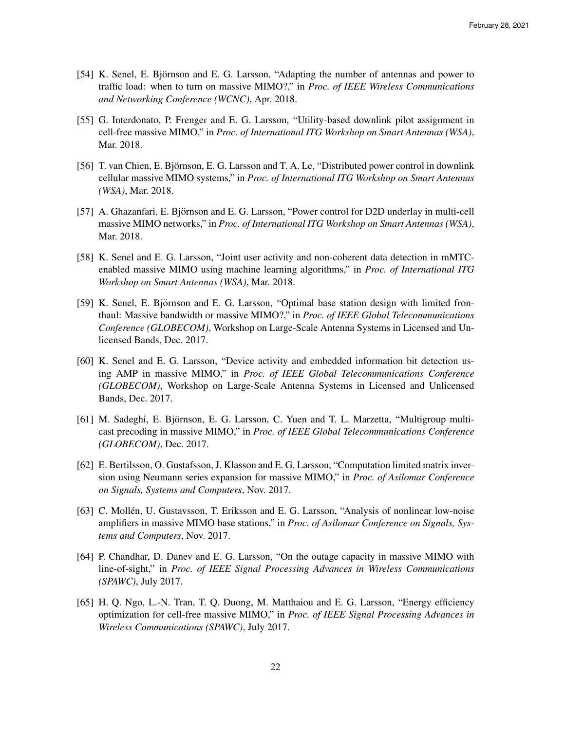- [54] K. Senel, E. Björnson and E. G. Larsson, "Adapting the number of antennas and power to traffic load: when to turn on massive MIMO?," in *Proc. of IEEE Wireless Communications and Networking Conference (WCNC)*, Apr. 2018.
- [55] G. Interdonato, P. Frenger and E. G. Larsson, "Utility-based downlink pilot assignment in cell-free massive MIMO," in *Proc. of International ITG Workshop on Smart Antennas (WSA)*, Mar. 2018.
- [56] T. van Chien, E. Bjornson, E. G. Larsson and T. A. Le, "Distributed power control in downlink ¨ cellular massive MIMO systems," in *Proc. of International ITG Workshop on Smart Antennas (WSA)*, Mar. 2018.
- [57] A. Ghazanfari, E. Björnson and E. G. Larsson, "Power control for D2D underlay in multi-cell massive MIMO networks," in *Proc. of International ITG Workshop on Smart Antennas (WSA)*, Mar. 2018.
- [58] K. Senel and E. G. Larsson, "Joint user activity and non-coherent data detection in mMTCenabled massive MIMO using machine learning algorithms," in *Proc. of International ITG Workshop on Smart Antennas (WSA)*, Mar. 2018.
- [59] K. Senel, E. Björnson and E. G. Larsson, "Optimal base station design with limited fronthaul: Massive bandwidth or massive MIMO?," in *Proc. of IEEE Global Telecommunications Conference (GLOBECOM)*, Workshop on Large-Scale Antenna Systems in Licensed and Unlicensed Bands, Dec. 2017.
- [60] K. Senel and E. G. Larsson, "Device activity and embedded information bit detection using AMP in massive MIMO," in *Proc. of IEEE Global Telecommunications Conference (GLOBECOM)*, Workshop on Large-Scale Antenna Systems in Licensed and Unlicensed Bands, Dec. 2017.
- [61] M. Sadeghi, E. Björnson, E. G. Larsson, C. Yuen and T. L. Marzetta, "Multigroup multicast precoding in massive MIMO," in *Proc. of IEEE Global Telecommunications Conference (GLOBECOM)*, Dec. 2017.
- [62] E. Bertilsson, O. Gustafsson, J. Klasson and E. G. Larsson, "Computation limited matrix inversion using Neumann series expansion for massive MIMO," in *Proc. of Asilomar Conference on Signals, Systems and Computers*, Nov. 2017.
- [63] C. Mollén, U. Gustavsson, T. Eriksson and E. G. Larsson, "Analysis of nonlinear low-noise amplifiers in massive MIMO base stations," in *Proc. of Asilomar Conference on Signals, Systems and Computers*, Nov. 2017.
- [64] P. Chandhar, D. Danev and E. G. Larsson, "On the outage capacity in massive MIMO with line-of-sight," in *Proc. of IEEE Signal Processing Advances in Wireless Communications (SPAWC)*, July 2017.
- [65] H. Q. Ngo, L.-N. Tran, T. Q. Duong, M. Matthaiou and E. G. Larsson, "Energy efficiency optimization for cell-free massive MIMO," in *Proc. of IEEE Signal Processing Advances in Wireless Communications (SPAWC)*, July 2017.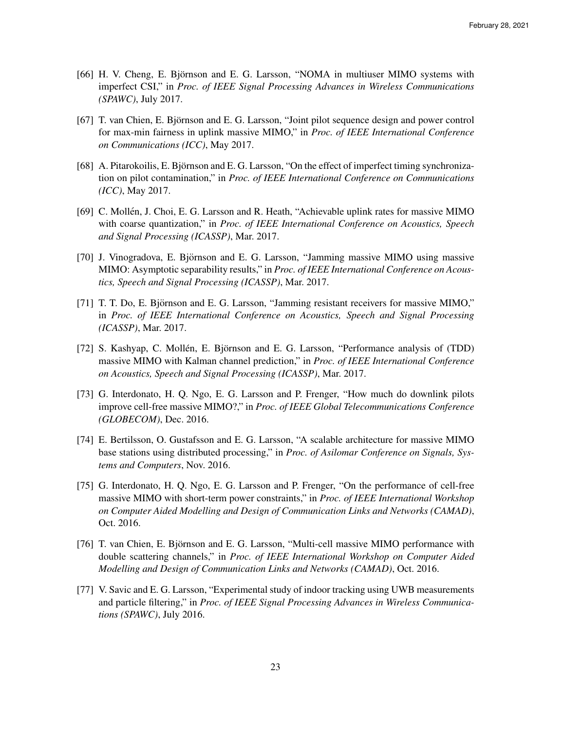- [66] H. V. Cheng, E. Björnson and E. G. Larsson, "NOMA in multiuser MIMO systems with imperfect CSI," in *Proc. of IEEE Signal Processing Advances in Wireless Communications (SPAWC)*, July 2017.
- [67] T. van Chien, E. Björnson and E. G. Larsson, "Joint pilot sequence design and power control for max-min fairness in uplink massive MIMO," in *Proc. of IEEE International Conference on Communications (ICC)*, May 2017.
- [68] A. Pitarokoilis, E. Bjornson and E. G. Larsson, "On the effect of imperfect timing synchroniza- ¨ tion on pilot contamination," in *Proc. of IEEE International Conference on Communications (ICC)*, May 2017.
- [69] C. Mollén, J. Choi, E. G. Larsson and R. Heath, "Achievable uplink rates for massive MIMO with coarse quantization," in *Proc. of IEEE International Conference on Acoustics, Speech and Signal Processing (ICASSP)*, Mar. 2017.
- [70] J. Vinogradova, E. Björnson and E. G. Larsson, "Jamming massive MIMO using massive MIMO: Asymptotic separability results," in *Proc. of IEEE International Conference on Acoustics, Speech and Signal Processing (ICASSP)*, Mar. 2017.
- [71] T. T. Do, E. Björnson and E. G. Larsson, "Jamming resistant receivers for massive MIMO," in *Proc. of IEEE International Conference on Acoustics, Speech and Signal Processing (ICASSP)*, Mar. 2017.
- [72] S. Kashyap, C. Mollén, E. Björnson and E. G. Larsson, "Performance analysis of (TDD) massive MIMO with Kalman channel prediction," in *Proc. of IEEE International Conference on Acoustics, Speech and Signal Processing (ICASSP)*, Mar. 2017.
- [73] G. Interdonato, H. Q. Ngo, E. G. Larsson and P. Frenger, "How much do downlink pilots improve cell-free massive MIMO?," in *Proc. of IEEE Global Telecommunications Conference (GLOBECOM)*, Dec. 2016.
- [74] E. Bertilsson, O. Gustafsson and E. G. Larsson, "A scalable architecture for massive MIMO base stations using distributed processing," in *Proc. of Asilomar Conference on Signals, Systems and Computers*, Nov. 2016.
- [75] G. Interdonato, H. Q. Ngo, E. G. Larsson and P. Frenger, "On the performance of cell-free massive MIMO with short-term power constraints," in *Proc. of IEEE International Workshop on Computer Aided Modelling and Design of Communication Links and Networks (CAMAD)*, Oct. 2016.
- [76] T. van Chien, E. Björnson and E. G. Larsson, "Multi-cell massive MIMO performance with double scattering channels," in *Proc. of IEEE International Workshop on Computer Aided Modelling and Design of Communication Links and Networks (CAMAD)*, Oct. 2016.
- [77] V. Savic and E. G. Larsson, "Experimental study of indoor tracking using UWB measurements and particle filtering," in *Proc. of IEEE Signal Processing Advances in Wireless Communications (SPAWC)*, July 2016.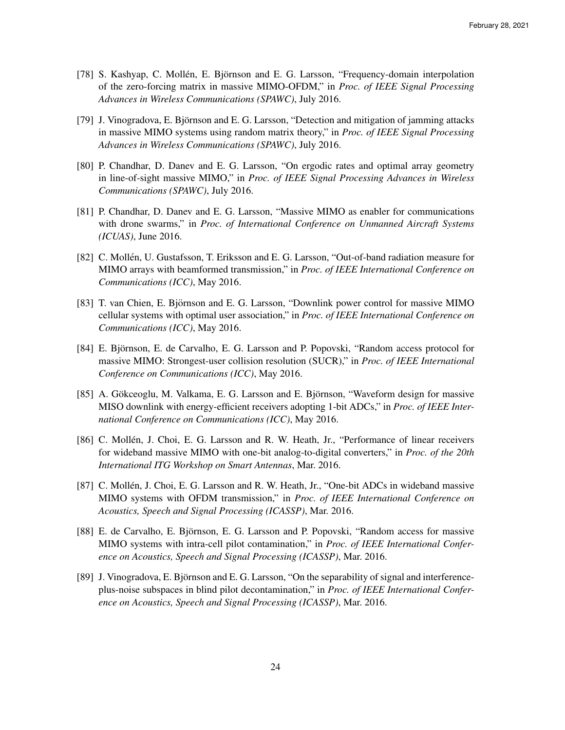- [78] S. Kashyap, C. Mollén, E. Björnson and E. G. Larsson, "Frequency-domain interpolation of the zero-forcing matrix in massive MIMO-OFDM," in *Proc. of IEEE Signal Processing Advances in Wireless Communications (SPAWC)*, July 2016.
- [79] J. Vinogradova, E. Björnson and E. G. Larsson, "Detection and mitigation of jamming attacks in massive MIMO systems using random matrix theory," in *Proc. of IEEE Signal Processing Advances in Wireless Communications (SPAWC)*, July 2016.
- [80] P. Chandhar, D. Danev and E. G. Larsson, "On ergodic rates and optimal array geometry in line-of-sight massive MIMO," in *Proc. of IEEE Signal Processing Advances in Wireless Communications (SPAWC)*, July 2016.
- [81] P. Chandhar, D. Danev and E. G. Larsson, "Massive MIMO as enabler for communications with drone swarms," in *Proc. of International Conference on Unmanned Aircraft Systems (ICUAS)*, June 2016.
- [82] C. Mollen, U. Gustafsson, T. Eriksson and E. G. Larsson, "Out-of-band radiation measure for ´ MIMO arrays with beamformed transmission," in *Proc. of IEEE International Conference on Communications (ICC)*, May 2016.
- [83] T. van Chien, E. Björnson and E. G. Larsson, "Downlink power control for massive MIMO cellular systems with optimal user association," in *Proc. of IEEE International Conference on Communications (ICC)*, May 2016.
- [84] E. Björnson, E. de Carvalho, E. G. Larsson and P. Popovski, "Random access protocol for massive MIMO: Strongest-user collision resolution (SUCR)," in *Proc. of IEEE International Conference on Communications (ICC)*, May 2016.
- [85] A. Gökceoglu, M. Valkama, E. G. Larsson and E. Björnson, "Waveform design for massive MISO downlink with energy-efficient receivers adopting 1-bit ADCs," in *Proc. of IEEE International Conference on Communications (ICC)*, May 2016.
- [86] C. Mollén, J. Choi, E. G. Larsson and R. W. Heath, Jr., "Performance of linear receivers for wideband massive MIMO with one-bit analog-to-digital converters," in *Proc. of the 20th International ITG Workshop on Smart Antennas*, Mar. 2016.
- [87] C. Mollén, J. Choi, E. G. Larsson and R. W. Heath, Jr., "One-bit ADCs in wideband massive MIMO systems with OFDM transmission," in *Proc. of IEEE International Conference on Acoustics, Speech and Signal Processing (ICASSP)*, Mar. 2016.
- [88] E. de Carvalho, E. Björnson, E. G. Larsson and P. Popovski, "Random access for massive MIMO systems with intra-cell pilot contamination," in *Proc. of IEEE International Conference on Acoustics, Speech and Signal Processing (ICASSP)*, Mar. 2016.
- [89] J. Vinogradova, E. Björnson and E. G. Larsson, "On the separability of signal and interferenceplus-noise subspaces in blind pilot decontamination," in *Proc. of IEEE International Conference on Acoustics, Speech and Signal Processing (ICASSP)*, Mar. 2016.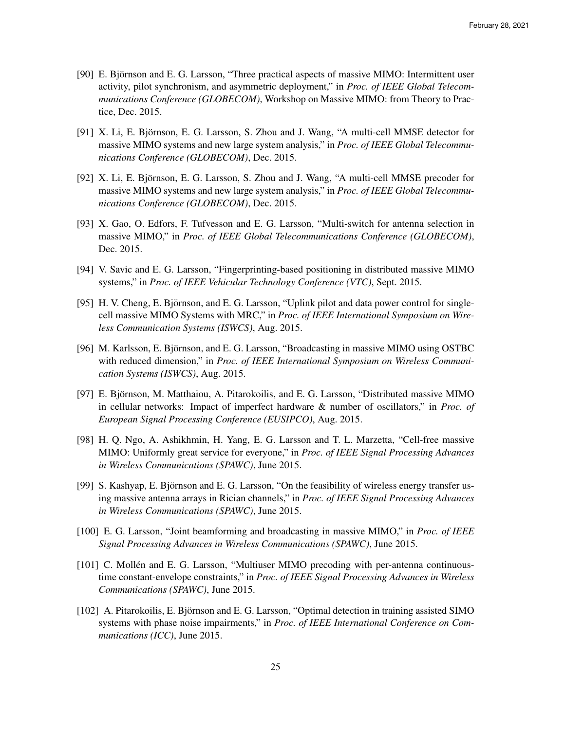- [90] E. Björnson and E. G. Larsson, "Three practical aspects of massive MIMO: Intermittent user activity, pilot synchronism, and asymmetric deployment," in *Proc. of IEEE Global Telecommunications Conference (GLOBECOM)*, Workshop on Massive MIMO: from Theory to Practice, Dec. 2015.
- [91] X. Li, E. Björnson, E. G. Larsson, S. Zhou and J. Wang, "A multi-cell MMSE detector for massive MIMO systems and new large system analysis," in *Proc. of IEEE Global Telecommunications Conference (GLOBECOM)*, Dec. 2015.
- [92] X. Li, E. Björnson, E. G. Larsson, S. Zhou and J. Wang, "A multi-cell MMSE precoder for massive MIMO systems and new large system analysis," in *Proc. of IEEE Global Telecommunications Conference (GLOBECOM)*, Dec. 2015.
- [93] X. Gao, O. Edfors, F. Tufvesson and E. G. Larsson, "Multi-switch for antenna selection in massive MIMO," in *Proc. of IEEE Global Telecommunications Conference (GLOBECOM)*, Dec. 2015.
- [94] V. Savic and E. G. Larsson, "Fingerprinting-based positioning in distributed massive MIMO systems," in *Proc. of IEEE Vehicular Technology Conference (VTC)*, Sept. 2015.
- [95] H. V. Cheng, E. Björnson, and E. G. Larsson, "Uplink pilot and data power control for singlecell massive MIMO Systems with MRC," in *Proc. of IEEE International Symposium on Wireless Communication Systems (ISWCS)*, Aug. 2015.
- [96] M. Karlsson, E. Björnson, and E. G. Larsson, "Broadcasting in massive MIMO using OSTBC with reduced dimension," in *Proc. of IEEE International Symposium on Wireless Communication Systems (ISWCS)*, Aug. 2015.
- [97] E. Björnson, M. Matthaiou, A. Pitarokoilis, and E. G. Larsson, "Distributed massive MIMO in cellular networks: Impact of imperfect hardware & number of oscillators," in *Proc. of European Signal Processing Conference (EUSIPCO)*, Aug. 2015.
- [98] H. Q. Ngo, A. Ashikhmin, H. Yang, E. G. Larsson and T. L. Marzetta, "Cell-free massive MIMO: Uniformly great service for everyone," in *Proc. of IEEE Signal Processing Advances in Wireless Communications (SPAWC)*, June 2015.
- [99] S. Kashyap, E. Björnson and E. G. Larsson, "On the feasibility of wireless energy transfer using massive antenna arrays in Rician channels," in *Proc. of IEEE Signal Processing Advances in Wireless Communications (SPAWC)*, June 2015.
- [100] E. G. Larsson, "Joint beamforming and broadcasting in massive MIMO," in *Proc. of IEEE Signal Processing Advances in Wireless Communications (SPAWC)*, June 2015.
- [101] C. Mollén and E. G. Larsson, "Multiuser MIMO precoding with per-antenna continuoustime constant-envelope constraints," in *Proc. of IEEE Signal Processing Advances in Wireless Communications (SPAWC)*, June 2015.
- [102] A. Pitarokoilis, E. Björnson and E. G. Larsson, "Optimal detection in training assisted SIMO systems with phase noise impairments," in *Proc. of IEEE International Conference on Communications (ICC)*, June 2015.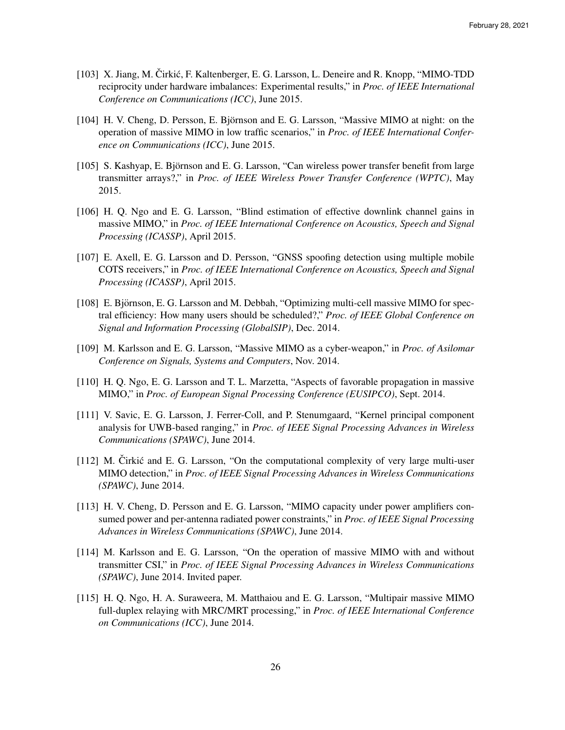- [103] X. Jiang, M. Čirkić, F. Kaltenberger, E. G. Larsson, L. Deneire and R. Knopp, "MIMO-TDD" reciprocity under hardware imbalances: Experimental results," in *Proc. of IEEE International Conference on Communications (ICC)*, June 2015.
- [104] H. V. Cheng, D. Persson, E. Björnson and E. G. Larsson, "Massive MIMO at night: on the operation of massive MIMO in low traffic scenarios," in *Proc. of IEEE International Conference on Communications (ICC)*, June 2015.
- [105] S. Kashyap, E. Björnson and E. G. Larsson, "Can wireless power transfer benefit from large transmitter arrays?," in *Proc. of IEEE Wireless Power Transfer Conference (WPTC)*, May 2015.
- [106] H. Q. Ngo and E. G. Larsson, "Blind estimation of effective downlink channel gains in massive MIMO," in *Proc. of IEEE International Conference on Acoustics, Speech and Signal Processing (ICASSP)*, April 2015.
- [107] E. Axell, E. G. Larsson and D. Persson, "GNSS spoofing detection using multiple mobile COTS receivers," in *Proc. of IEEE International Conference on Acoustics, Speech and Signal Processing (ICASSP)*, April 2015.
- [108] E. Björnson, E. G. Larsson and M. Debbah, "Optimizing multi-cell massive MIMO for spectral efficiency: How many users should be scheduled?," *Proc. of IEEE Global Conference on Signal and Information Processing (GlobalSIP)*, Dec. 2014.
- [109] M. Karlsson and E. G. Larsson, "Massive MIMO as a cyber-weapon," in *Proc. of Asilomar Conference on Signals, Systems and Computers*, Nov. 2014.
- [110] H. Q. Ngo, E. G. Larsson and T. L. Marzetta, "Aspects of favorable propagation in massive MIMO," in *Proc. of European Signal Processing Conference (EUSIPCO)*, Sept. 2014.
- [111] V. Savic, E. G. Larsson, J. Ferrer-Coll, and P. Stenumgaard, "Kernel principal component analysis for UWB-based ranging," in *Proc. of IEEE Signal Processing Advances in Wireless Communications (SPAWC)*, June 2014.
- $[112]$  M. Čirkić and E. G. Larsson, "On the computational complexity of very large multi-user MIMO detection," in *Proc. of IEEE Signal Processing Advances in Wireless Communications (SPAWC)*, June 2014.
- [113] H. V. Cheng, D. Persson and E. G. Larsson, "MIMO capacity under power amplifiers consumed power and per-antenna radiated power constraints," in *Proc. of IEEE Signal Processing Advances in Wireless Communications (SPAWC)*, June 2014.
- [114] M. Karlsson and E. G. Larsson, "On the operation of massive MIMO with and without transmitter CSI," in *Proc. of IEEE Signal Processing Advances in Wireless Communications (SPAWC)*, June 2014. Invited paper.
- [115] H. Q. Ngo, H. A. Suraweera, M. Matthaiou and E. G. Larsson, "Multipair massive MIMO full-duplex relaying with MRC/MRT processing," in *Proc. of IEEE International Conference on Communications (ICC)*, June 2014.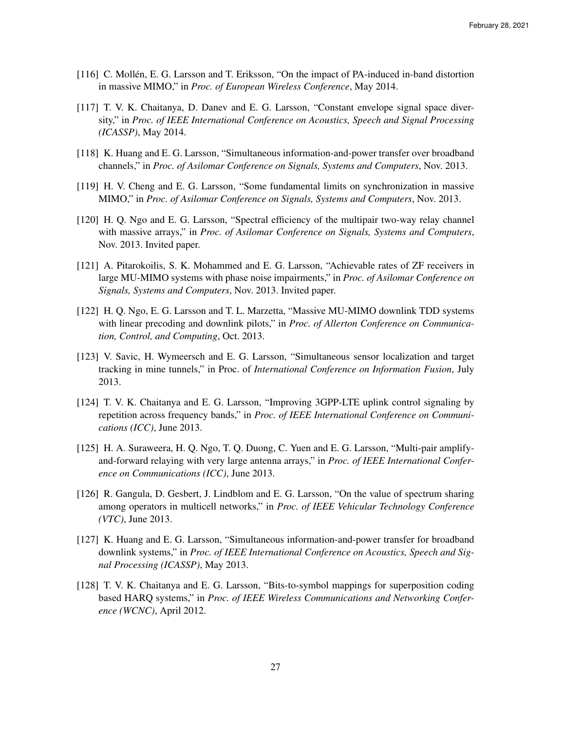- [116] C. Mollen, E. G. Larsson and T. Eriksson, "On the impact of PA-induced in-band distortion ´ in massive MIMO," in *Proc. of European Wireless Conference*, May 2014.
- [117] T. V. K. Chaitanya, D. Danev and E. G. Larsson, "Constant envelope signal space diversity," in *Proc. of IEEE International Conference on Acoustics, Speech and Signal Processing (ICASSP)*, May 2014.
- [118] K. Huang and E. G. Larsson, "Simultaneous information-and-power transfer over broadband channels," in *Proc. of Asilomar Conference on Signals, Systems and Computers*, Nov. 2013.
- [119] H. V. Cheng and E. G. Larsson, "Some fundamental limits on synchronization in massive MIMO," in *Proc. of Asilomar Conference on Signals, Systems and Computers*, Nov. 2013.
- [120] H. Q. Ngo and E. G. Larsson, "Spectral efficiency of the multipair two-way relay channel with massive arrays," in *Proc. of Asilomar Conference on Signals, Systems and Computers*, Nov. 2013. Invited paper.
- [121] A. Pitarokoilis, S. K. Mohammed and E. G. Larsson, "Achievable rates of ZF receivers in large MU-MIMO systems with phase noise impairments," in *Proc. of Asilomar Conference on Signals, Systems and Computers*, Nov. 2013. Invited paper.
- [122] H. Q. Ngo, E. G. Larsson and T. L. Marzetta, "Massive MU-MIMO downlink TDD systems with linear precoding and downlink pilots," in *Proc. of Allerton Conference on Communication, Control, and Computing*, Oct. 2013.
- [123] V. Savic, H. Wymeersch and E. G. Larsson, "Simultaneous sensor localization and target tracking in mine tunnels," in Proc. of *International Conference on Information Fusion*, July 2013.
- [124] T. V. K. Chaitanya and E. G. Larsson, "Improving 3GPP-LTE uplink control signaling by repetition across frequency bands," in *Proc. of IEEE International Conference on Communications (ICC)*, June 2013.
- [125] H. A. Suraweera, H. Q. Ngo, T. Q. Duong, C. Yuen and E. G. Larsson, "Multi-pair amplifyand-forward relaying with very large antenna arrays," in *Proc. of IEEE International Conference on Communications (ICC)*, June 2013.
- [126] R. Gangula, D. Gesbert, J. Lindblom and E. G. Larsson, "On the value of spectrum sharing among operators in multicell networks," in *Proc. of IEEE Vehicular Technology Conference (VTC)*, June 2013.
- [127] K. Huang and E. G. Larsson, "Simultaneous information-and-power transfer for broadband downlink systems," in *Proc. of IEEE International Conference on Acoustics, Speech and Signal Processing (ICASSP)*, May 2013.
- [128] T. V. K. Chaitanya and E. G. Larsson, "Bits-to-symbol mappings for superposition coding based HARQ systems," in *Proc. of IEEE Wireless Communications and Networking Conference (WCNC)*, April 2012.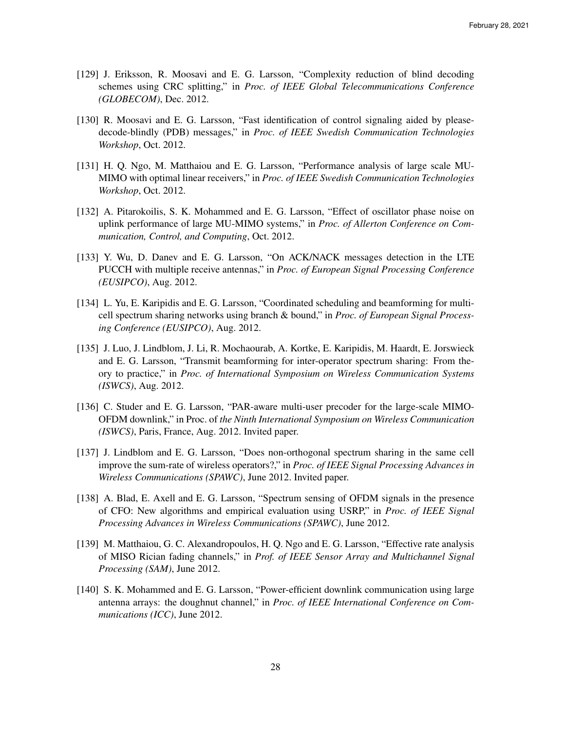- [129] J. Eriksson, R. Moosavi and E. G. Larsson, "Complexity reduction of blind decoding schemes using CRC splitting," in *Proc. of IEEE Global Telecommunications Conference (GLOBECOM)*, Dec. 2012.
- [130] R. Moosavi and E. G. Larsson, "Fast identification of control signaling aided by pleasedecode-blindly (PDB) messages," in *Proc. of IEEE Swedish Communication Technologies Workshop*, Oct. 2012.
- [131] H. Q. Ngo, M. Matthaiou and E. G. Larsson, "Performance analysis of large scale MU-MIMO with optimal linear receivers," in *Proc. of IEEE Swedish Communication Technologies Workshop*, Oct. 2012.
- [132] A. Pitarokoilis, S. K. Mohammed and E. G. Larsson, "Effect of oscillator phase noise on uplink performance of large MU-MIMO systems," in *Proc. of Allerton Conference on Communication, Control, and Computing*, Oct. 2012.
- [133] Y. Wu, D. Danev and E. G. Larsson, "On ACK/NACK messages detection in the LTE PUCCH with multiple receive antennas," in *Proc. of European Signal Processing Conference (EUSIPCO)*, Aug. 2012.
- [134] L. Yu, E. Karipidis and E. G. Larsson, "Coordinated scheduling and beamforming for multicell spectrum sharing networks using branch & bound," in *Proc. of European Signal Processing Conference (EUSIPCO)*, Aug. 2012.
- [135] J. Luo, J. Lindblom, J. Li, R. Mochaourab, A. Kortke, E. Karipidis, M. Haardt, E. Jorswieck and E. G. Larsson, "Transmit beamforming for inter-operator spectrum sharing: From theory to practice," in *Proc. of International Symposium on Wireless Communication Systems (ISWCS)*, Aug. 2012.
- [136] C. Studer and E. G. Larsson, "PAR-aware multi-user precoder for the large-scale MIMO-OFDM downlink," in Proc. of *the Ninth International Symposium on Wireless Communication (ISWCS)*, Paris, France, Aug. 2012. Invited paper.
- [137] J. Lindblom and E. G. Larsson, "Does non-orthogonal spectrum sharing in the same cell improve the sum-rate of wireless operators?," in *Proc. of IEEE Signal Processing Advances in Wireless Communications (SPAWC)*, June 2012. Invited paper.
- [138] A. Blad, E. Axell and E. G. Larsson, "Spectrum sensing of OFDM signals in the presence of CFO: New algorithms and empirical evaluation using USRP," in *Proc. of IEEE Signal Processing Advances in Wireless Communications (SPAWC)*, June 2012.
- [139] M. Matthaiou, G. C. Alexandropoulos, H. Q. Ngo and E. G. Larsson, "Effective rate analysis of MISO Rician fading channels," in *Prof. of IEEE Sensor Array and Multichannel Signal Processing (SAM)*, June 2012.
- [140] S. K. Mohammed and E. G. Larsson, "Power-efficient downlink communication using large antenna arrays: the doughnut channel," in *Proc. of IEEE International Conference on Communications (ICC)*, June 2012.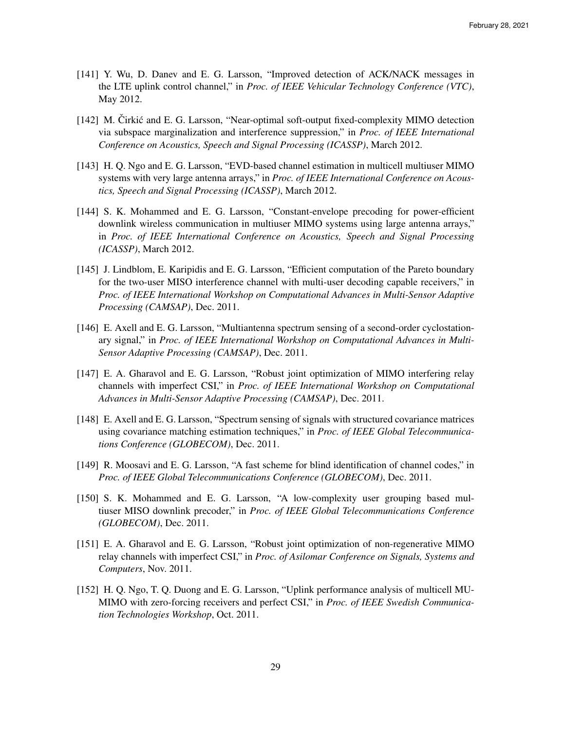- [141] Y. Wu, D. Danev and E. G. Larsson, "Improved detection of ACK/NACK messages in the LTE uplink control channel," in *Proc. of IEEE Vehicular Technology Conference (VTC)*, May 2012.
- [142] M. Cirkić and E. G. Larsson, "Near-optimal soft-output fixed-complexity MIMO detection via subspace marginalization and interference suppression," in *Proc. of IEEE International Conference on Acoustics, Speech and Signal Processing (ICASSP)*, March 2012.
- [143] H. Q. Ngo and E. G. Larsson, "EVD-based channel estimation in multicell multiuser MIMO systems with very large antenna arrays," in *Proc. of IEEE International Conference on Acoustics, Speech and Signal Processing (ICASSP)*, March 2012.
- [144] S. K. Mohammed and E. G. Larsson, "Constant-envelope precoding for power-efficient downlink wireless communication in multiuser MIMO systems using large antenna arrays," in *Proc. of IEEE International Conference on Acoustics, Speech and Signal Processing (ICASSP)*, March 2012.
- [145] J. Lindblom, E. Karipidis and E. G. Larsson, "Efficient computation of the Pareto boundary for the two-user MISO interference channel with multi-user decoding capable receivers," in *Proc. of IEEE International Workshop on Computational Advances in Multi-Sensor Adaptive Processing (CAMSAP)*, Dec. 2011.
- [146] E. Axell and E. G. Larsson, "Multiantenna spectrum sensing of a second-order cyclostationary signal," in *Proc. of IEEE International Workshop on Computational Advances in Multi-Sensor Adaptive Processing (CAMSAP)*, Dec. 2011.
- [147] E. A. Gharavol and E. G. Larsson, "Robust joint optimization of MIMO interfering relay channels with imperfect CSI," in *Proc. of IEEE International Workshop on Computational Advances in Multi-Sensor Adaptive Processing (CAMSAP)*, Dec. 2011.
- [148] E. Axell and E. G. Larsson, "Spectrum sensing of signals with structured covariance matrices using covariance matching estimation techniques," in *Proc. of IEEE Global Telecommunications Conference (GLOBECOM)*, Dec. 2011.
- [149] R. Moosavi and E. G. Larsson, "A fast scheme for blind identification of channel codes," in *Proc. of IEEE Global Telecommunications Conference (GLOBECOM)*, Dec. 2011.
- [150] S. K. Mohammed and E. G. Larsson, "A low-complexity user grouping based multiuser MISO downlink precoder," in *Proc. of IEEE Global Telecommunications Conference (GLOBECOM)*, Dec. 2011.
- [151] E. A. Gharavol and E. G. Larsson, "Robust joint optimization of non-regenerative MIMO relay channels with imperfect CSI," in *Proc. of Asilomar Conference on Signals, Systems and Computers*, Nov. 2011.
- [152] H. Q. Ngo, T. Q. Duong and E. G. Larsson, "Uplink performance analysis of multicell MU-MIMO with zero-forcing receivers and perfect CSI," in *Proc. of IEEE Swedish Communication Technologies Workshop*, Oct. 2011.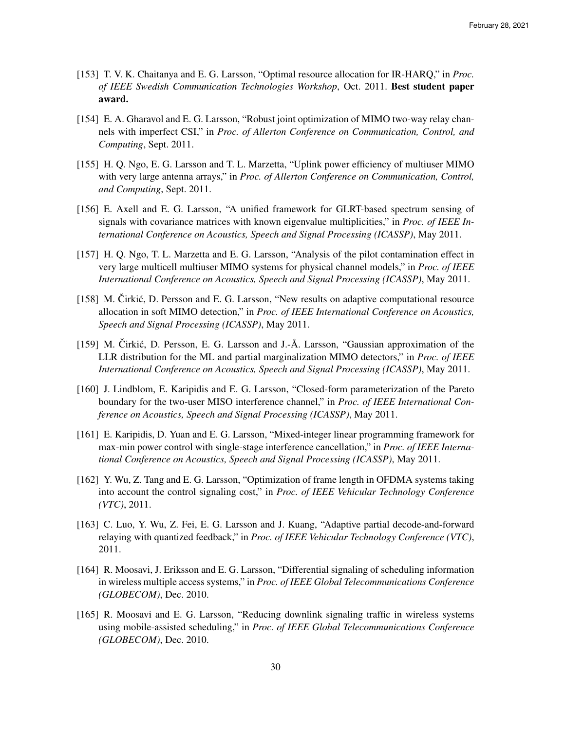- [153] T. V. K. Chaitanya and E. G. Larsson, "Optimal resource allocation for IR-HARQ," in *Proc. of IEEE Swedish Communication Technologies Workshop*, Oct. 2011. Best student paper award.
- [154] E. A. Gharavol and E. G. Larsson, "Robust joint optimization of MIMO two-way relay channels with imperfect CSI," in *Proc. of Allerton Conference on Communication, Control, and Computing*, Sept. 2011.
- [155] H. Q. Ngo, E. G. Larsson and T. L. Marzetta, "Uplink power efficiency of multiuser MIMO with very large antenna arrays," in *Proc. of Allerton Conference on Communication, Control, and Computing*, Sept. 2011.
- [156] E. Axell and E. G. Larsson, "A unified framework for GLRT-based spectrum sensing of signals with covariance matrices with known eigenvalue multiplicities," in *Proc. of IEEE International Conference on Acoustics, Speech and Signal Processing (ICASSP)*, May 2011.
- [157] H. Q. Ngo, T. L. Marzetta and E. G. Larsson, "Analysis of the pilot contamination effect in very large multicell multiuser MIMO systems for physical channel models," in *Proc. of IEEE International Conference on Acoustics, Speech and Signal Processing (ICASSP)*, May 2011.
- [158] M. Čirkić, D. Persson and E. G. Larsson, "New results on adaptive computational resource allocation in soft MIMO detection," in *Proc. of IEEE International Conference on Acoustics, Speech and Signal Processing (ICASSP)*, May 2011.
- [159] M. Čirkić, D. Persson, E. G. Larsson and J.-Å. Larsson, "Gaussian approximation of the LLR distribution for the ML and partial marginalization MIMO detectors," in *Proc. of IEEE International Conference on Acoustics, Speech and Signal Processing (ICASSP)*, May 2011.
- [160] J. Lindblom, E. Karipidis and E. G. Larsson, "Closed-form parameterization of the Pareto boundary for the two-user MISO interference channel," in *Proc. of IEEE International Conference on Acoustics, Speech and Signal Processing (ICASSP)*, May 2011.
- [161] E. Karipidis, D. Yuan and E. G. Larsson, "Mixed-integer linear programming framework for max-min power control with single-stage interference cancellation," in *Proc. of IEEE International Conference on Acoustics, Speech and Signal Processing (ICASSP)*, May 2011.
- [162] Y. Wu, Z. Tang and E. G. Larsson, "Optimization of frame length in OFDMA systems taking into account the control signaling cost," in *Proc. of IEEE Vehicular Technology Conference (VTC)*, 2011.
- [163] C. Luo, Y. Wu, Z. Fei, E. G. Larsson and J. Kuang, "Adaptive partial decode-and-forward relaying with quantized feedback," in *Proc. of IEEE Vehicular Technology Conference (VTC)*, 2011.
- [164] R. Moosavi, J. Eriksson and E. G. Larsson, "Differential signaling of scheduling information in wireless multiple access systems," in *Proc. of IEEE Global Telecommunications Conference (GLOBECOM)*, Dec. 2010.
- [165] R. Moosavi and E. G. Larsson, "Reducing downlink signaling traffic in wireless systems using mobile-assisted scheduling," in *Proc. of IEEE Global Telecommunications Conference (GLOBECOM)*, Dec. 2010.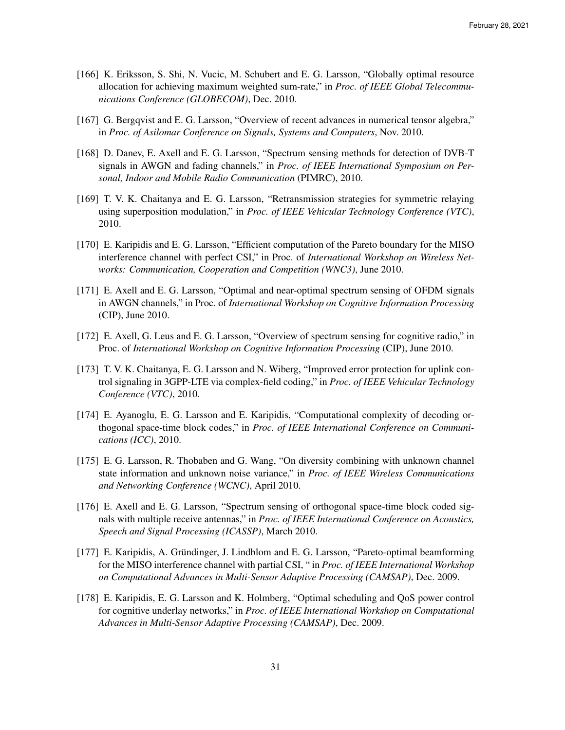- [166] K. Eriksson, S. Shi, N. Vucic, M. Schubert and E. G. Larsson, "Globally optimal resource allocation for achieving maximum weighted sum-rate," in *Proc. of IEEE Global Telecommunications Conference (GLOBECOM)*, Dec. 2010.
- [167] G. Bergqvist and E. G. Larsson, "Overview of recent advances in numerical tensor algebra," in *Proc. of Asilomar Conference on Signals, Systems and Computers*, Nov. 2010.
- [168] D. Danev, E. Axell and E. G. Larsson, "Spectrum sensing methods for detection of DVB-T signals in AWGN and fading channels," in *Proc. of IEEE International Symposium on Personal, Indoor and Mobile Radio Communication* (PIMRC), 2010.
- [169] T. V. K. Chaitanya and E. G. Larsson, "Retransmission strategies for symmetric relaying using superposition modulation," in *Proc. of IEEE Vehicular Technology Conference (VTC)*, 2010.
- [170] E. Karipidis and E. G. Larsson, "Efficient computation of the Pareto boundary for the MISO interference channel with perfect CSI," in Proc. of *International Workshop on Wireless Networks: Communication, Cooperation and Competition (WNC3)*, June 2010.
- [171] E. Axell and E. G. Larsson, "Optimal and near-optimal spectrum sensing of OFDM signals in AWGN channels," in Proc. of *International Workshop on Cognitive Information Processing* (CIP), June 2010.
- [172] E. Axell, G. Leus and E. G. Larsson, "Overview of spectrum sensing for cognitive radio," in Proc. of *International Workshop on Cognitive Information Processing* (CIP), June 2010.
- [173] T. V. K. Chaitanya, E. G. Larsson and N. Wiberg, "Improved error protection for uplink control signaling in 3GPP-LTE via complex-field coding," in *Proc. of IEEE Vehicular Technology Conference (VTC)*, 2010.
- [174] E. Ayanoglu, E. G. Larsson and E. Karipidis, "Computational complexity of decoding orthogonal space-time block codes," in *Proc. of IEEE International Conference on Communications (ICC)*, 2010.
- [175] E. G. Larsson, R. Thobaben and G. Wang, "On diversity combining with unknown channel state information and unknown noise variance," in *Proc. of IEEE Wireless Communications and Networking Conference (WCNC)*, April 2010.
- [176] E. Axell and E. G. Larsson, "Spectrum sensing of orthogonal space-time block coded signals with multiple receive antennas," in *Proc. of IEEE International Conference on Acoustics, Speech and Signal Processing (ICASSP)*, March 2010.
- [177] E. Karipidis, A. Gründinger, J. Lindblom and E. G. Larsson, "Pareto-optimal beamforming for the MISO interference channel with partial CSI, " in *Proc. of IEEE International Workshop on Computational Advances in Multi-Sensor Adaptive Processing (CAMSAP)*, Dec. 2009.
- [178] E. Karipidis, E. G. Larsson and K. Holmberg, "Optimal scheduling and QoS power control for cognitive underlay networks," in *Proc. of IEEE International Workshop on Computational Advances in Multi-Sensor Adaptive Processing (CAMSAP)*, Dec. 2009.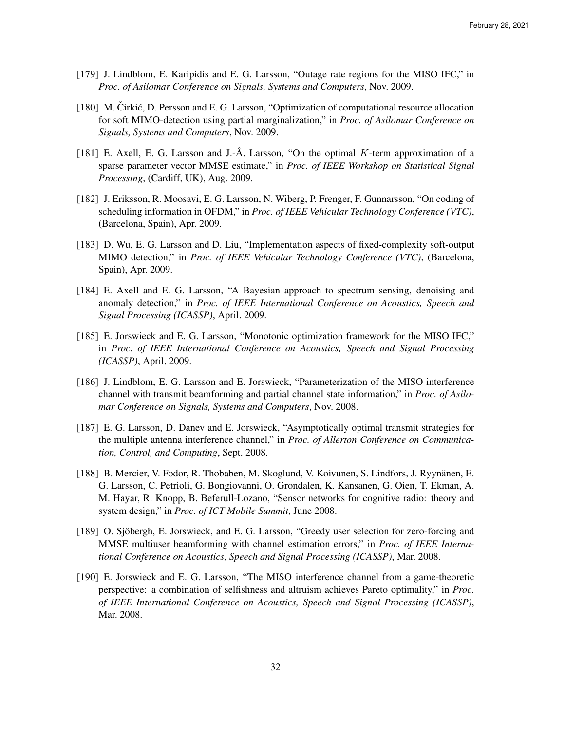- [179] J. Lindblom, E. Karipidis and E. G. Larsson, "Outage rate regions for the MISO IFC," in *Proc. of Asilomar Conference on Signals, Systems and Computers*, Nov. 2009.
- [180] M. Čirkić, D. Persson and E. G. Larsson, "Optimization of computational resource allocation for soft MIMO-detection using partial marginalization," in *Proc. of Asilomar Conference on Signals, Systems and Computers*, Nov. 2009.
- [181] E. Axell, E. G. Larsson and J.-Å. Larsson, "On the optimal  $K$ -term approximation of a sparse parameter vector MMSE estimate," in *Proc. of IEEE Workshop on Statistical Signal Processing*, (Cardiff, UK), Aug. 2009.
- [182] J. Eriksson, R. Moosavi, E. G. Larsson, N. Wiberg, P. Frenger, F. Gunnarsson, "On coding of scheduling information in OFDM," in *Proc. of IEEE Vehicular Technology Conference (VTC)*, (Barcelona, Spain), Apr. 2009.
- [183] D. Wu, E. G. Larsson and D. Liu, "Implementation aspects of fixed-complexity soft-output MIMO detection," in *Proc. of IEEE Vehicular Technology Conference (VTC)*, (Barcelona, Spain), Apr. 2009.
- [184] E. Axell and E. G. Larsson, "A Bayesian approach to spectrum sensing, denoising and anomaly detection," in *Proc. of IEEE International Conference on Acoustics, Speech and Signal Processing (ICASSP)*, April. 2009.
- [185] E. Jorswieck and E. G. Larsson, "Monotonic optimization framework for the MISO IFC," in *Proc. of IEEE International Conference on Acoustics, Speech and Signal Processing (ICASSP)*, April. 2009.
- [186] J. Lindblom, E. G. Larsson and E. Jorswieck, "Parameterization of the MISO interference channel with transmit beamforming and partial channel state information," in *Proc. of Asilomar Conference on Signals, Systems and Computers*, Nov. 2008.
- [187] E. G. Larsson, D. Danev and E. Jorswieck, "Asymptotically optimal transmit strategies for the multiple antenna interference channel," in *Proc. of Allerton Conference on Communication, Control, and Computing*, Sept. 2008.
- [188] B. Mercier, V. Fodor, R. Thobaben, M. Skoglund, V. Koivunen, S. Lindfors, J. Ryynanen, E. ¨ G. Larsson, C. Petrioli, G. Bongiovanni, O. Grondalen, K. Kansanen, G. Oien, T. Ekman, A. M. Hayar, R. Knopp, B. Beferull-Lozano, "Sensor networks for cognitive radio: theory and system design," in *Proc. of ICT Mobile Summit*, June 2008.
- [189] O. Sjöbergh, E. Jorswieck, and E. G. Larsson, "Greedy user selection for zero-forcing and MMSE multiuser beamforming with channel estimation errors," in *Proc. of IEEE International Conference on Acoustics, Speech and Signal Processing (ICASSP)*, Mar. 2008.
- [190] E. Jorswieck and E. G. Larsson, "The MISO interference channel from a game-theoretic perspective: a combination of selfishness and altruism achieves Pareto optimality," in *Proc. of IEEE International Conference on Acoustics, Speech and Signal Processing (ICASSP)*, Mar. 2008.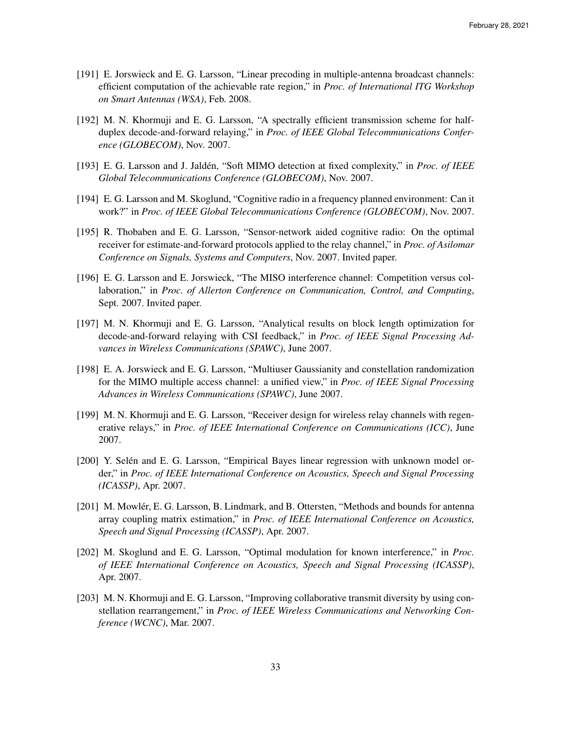- [191] E. Jorswieck and E. G. Larsson, "Linear precoding in multiple-antenna broadcast channels: efficient computation of the achievable rate region," in *Proc. of International ITG Workshop on Smart Antennas (WSA)*, Feb. 2008.
- [192] M. N. Khormuji and E. G. Larsson, "A spectrally efficient transmission scheme for halfduplex decode-and-forward relaying," in *Proc. of IEEE Global Telecommunications Conference (GLOBECOM)*, Nov. 2007.
- [193] E. G. Larsson and J. Jaldén, "Soft MIMO detection at fixed complexity," in *Proc. of IEEE Global Telecommunications Conference (GLOBECOM)*, Nov. 2007.
- [194] E. G. Larsson and M. Skoglund, "Cognitive radio in a frequency planned environment: Can it work?" in *Proc. of IEEE Global Telecommunications Conference (GLOBECOM)*, Nov. 2007.
- [195] R. Thobaben and E. G. Larsson, "Sensor-network aided cognitive radio: On the optimal receiver for estimate-and-forward protocols applied to the relay channel," in *Proc. of Asilomar Conference on Signals, Systems and Computers*, Nov. 2007. Invited paper.
- [196] E. G. Larsson and E. Jorswieck, "The MISO interference channel: Competition versus collaboration," in *Proc. of Allerton Conference on Communication, Control, and Computing*, Sept. 2007. Invited paper.
- [197] M. N. Khormuji and E. G. Larsson, "Analytical results on block length optimization for decode-and-forward relaying with CSI feedback," in *Proc. of IEEE Signal Processing Advances in Wireless Communications (SPAWC)*, June 2007.
- [198] E. A. Jorswieck and E. G. Larsson, "Multiuser Gaussianity and constellation randomization for the MIMO multiple access channel: a unified view," in *Proc. of IEEE Signal Processing Advances in Wireless Communications (SPAWC)*, June 2007.
- [199] M. N. Khormuji and E. G. Larsson, "Receiver design for wireless relay channels with regenerative relays," in *Proc. of IEEE International Conference on Communications (ICC)*, June 2007.
- [200] Y. Selén and E. G. Larsson, "Empirical Bayes linear regression with unknown model order," in *Proc. of IEEE International Conference on Acoustics, Speech and Signal Processing (ICASSP)*, Apr. 2007.
- [201] M. Mowlér, E. G. Larsson, B. Lindmark, and B. Ottersten, "Methods and bounds for antenna array coupling matrix estimation," in *Proc. of IEEE International Conference on Acoustics, Speech and Signal Processing (ICASSP)*, Apr. 2007.
- [202] M. Skoglund and E. G. Larsson, "Optimal modulation for known interference," in *Proc. of IEEE International Conference on Acoustics, Speech and Signal Processing (ICASSP)*, Apr. 2007.
- [203] M. N. Khormuji and E. G. Larsson, "Improving collaborative transmit diversity by using constellation rearrangement," in *Proc. of IEEE Wireless Communications and Networking Conference (WCNC)*, Mar. 2007.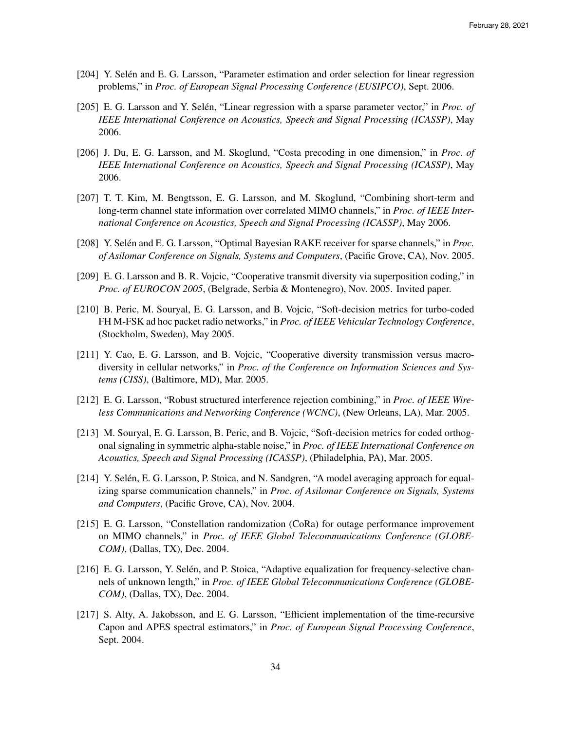- [204] Y. Selén and E. G. Larsson, "Parameter estimation and order selection for linear regression problems," in *Proc. of European Signal Processing Conference (EUSIPCO)*, Sept. 2006.
- [205] E. G. Larsson and Y. Selén, "Linear regression with a sparse parameter vector," in *Proc. of IEEE International Conference on Acoustics, Speech and Signal Processing (ICASSP)*, May 2006.
- [206] J. Du, E. G. Larsson, and M. Skoglund, "Costa precoding in one dimension," in *Proc. of IEEE International Conference on Acoustics, Speech and Signal Processing (ICASSP)*, May 2006.
- [207] T. T. Kim, M. Bengtsson, E. G. Larsson, and M. Skoglund, "Combining short-term and long-term channel state information over correlated MIMO channels," in *Proc. of IEEE International Conference on Acoustics, Speech and Signal Processing (ICASSP)*, May 2006.
- [208] Y. Selén and E. G. Larsson, "Optimal Bayesian RAKE receiver for sparse channels," in *Proc. of Asilomar Conference on Signals, Systems and Computers*, (Pacific Grove, CA), Nov. 2005.
- [209] E. G. Larsson and B. R. Vojcic, "Cooperative transmit diversity via superposition coding," in *Proc. of EUROCON 2005*, (Belgrade, Serbia & Montenegro), Nov. 2005. Invited paper.
- [210] B. Peric, M. Souryal, E. G. Larsson, and B. Vojcic, "Soft-decision metrics for turbo-coded FH M-FSK ad hoc packet radio networks," in *Proc. of IEEE Vehicular Technology Conference*, (Stockholm, Sweden), May 2005.
- [211] Y. Cao, E. G. Larsson, and B. Vojcic, "Cooperative diversity transmission versus macrodiversity in cellular networks," in *Proc. of the Conference on Information Sciences and Systems (CISS)*, (Baltimore, MD), Mar. 2005.
- [212] E. G. Larsson, "Robust structured interference rejection combining," in *Proc. of IEEE Wireless Communications and Networking Conference (WCNC)*, (New Orleans, LA), Mar. 2005.
- [213] M. Souryal, E. G. Larsson, B. Peric, and B. Vojcic, "Soft-decision metrics for coded orthogonal signaling in symmetric alpha-stable noise," in *Proc. of IEEE International Conference on Acoustics, Speech and Signal Processing (ICASSP)*, (Philadelphia, PA), Mar. 2005.
- [214] Y. Selén, E. G. Larsson, P. Stoica, and N. Sandgren, "A model averaging approach for equalizing sparse communication channels," in *Proc. of Asilomar Conference on Signals, Systems and Computers*, (Pacific Grove, CA), Nov. 2004.
- [215] E. G. Larsson, "Constellation randomization (CoRa) for outage performance improvement on MIMO channels," in *Proc. of IEEE Global Telecommunications Conference (GLOBE-COM)*, (Dallas, TX), Dec. 2004.
- [216] E. G. Larsson, Y. Selén, and P. Stoica, "Adaptive equalization for frequency-selective channels of unknown length," in *Proc. of IEEE Global Telecommunications Conference (GLOBE-COM)*, (Dallas, TX), Dec. 2004.
- [217] S. Alty, A. Jakobsson, and E. G. Larsson, "Efficient implementation of the time-recursive Capon and APES spectral estimators," in *Proc. of European Signal Processing Conference*, Sept. 2004.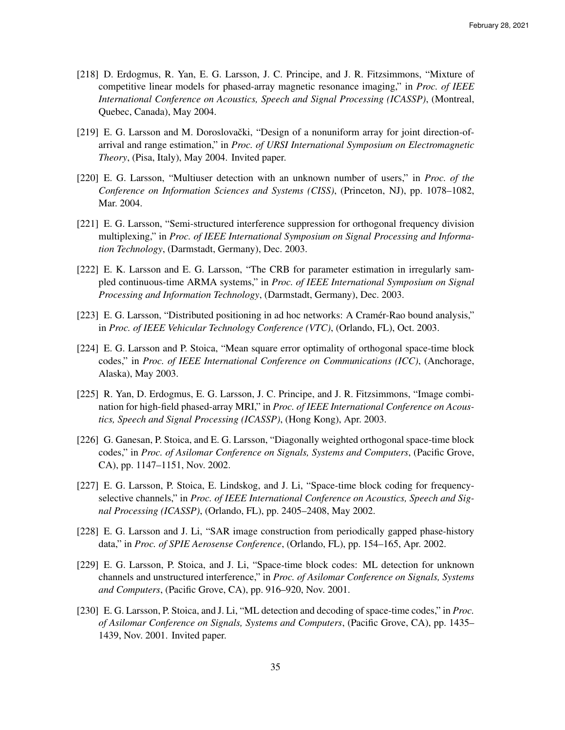- [218] D. Erdogmus, R. Yan, E. G. Larsson, J. C. Principe, and J. R. Fitzsimmons, "Mixture of competitive linear models for phased-array magnetic resonance imaging," in *Proc. of IEEE International Conference on Acoustics, Speech and Signal Processing (ICASSP)*, (Montreal, Quebec, Canada), May 2004.
- [219] E. G. Larsson and M. Doroslovački, "Design of a nonuniform array for joint direction-ofarrival and range estimation," in *Proc. of URSI International Symposium on Electromagnetic Theory*, (Pisa, Italy), May 2004. Invited paper.
- [220] E. G. Larsson, "Multiuser detection with an unknown number of users," in *Proc. of the Conference on Information Sciences and Systems (CISS)*, (Princeton, NJ), pp. 1078–1082, Mar. 2004.
- [221] E. G. Larsson, "Semi-structured interference suppression for orthogonal frequency division multiplexing," in *Proc. of IEEE International Symposium on Signal Processing and Information Technology*, (Darmstadt, Germany), Dec. 2003.
- [222] E. K. Larsson and E. G. Larsson, "The CRB for parameter estimation in irregularly sampled continuous-time ARMA systems," in *Proc. of IEEE International Symposium on Signal Processing and Information Technology*, (Darmstadt, Germany), Dec. 2003.
- [223] E. G. Larsson, "Distributed positioning in ad hoc networks: A Cramer-Rao bound analysis," in *Proc. of IEEE Vehicular Technology Conference (VTC)*, (Orlando, FL), Oct. 2003.
- [224] E. G. Larsson and P. Stoica, "Mean square error optimality of orthogonal space-time block codes," in *Proc. of IEEE International Conference on Communications (ICC)*, (Anchorage, Alaska), May 2003.
- [225] R. Yan, D. Erdogmus, E. G. Larsson, J. C. Principe, and J. R. Fitzsimmons, "Image combination for high-field phased-array MRI," in *Proc. of IEEE International Conference on Acoustics, Speech and Signal Processing (ICASSP)*, (Hong Kong), Apr. 2003.
- [226] G. Ganesan, P. Stoica, and E. G. Larsson, "Diagonally weighted orthogonal space-time block codes," in *Proc. of Asilomar Conference on Signals, Systems and Computers*, (Pacific Grove, CA), pp. 1147–1151, Nov. 2002.
- [227] E. G. Larsson, P. Stoica, E. Lindskog, and J. Li, "Space-time block coding for frequencyselective channels," in *Proc. of IEEE International Conference on Acoustics, Speech and Signal Processing (ICASSP)*, (Orlando, FL), pp. 2405–2408, May 2002.
- [228] E. G. Larsson and J. Li, "SAR image construction from periodically gapped phase-history data," in *Proc. of SPIE Aerosense Conference*, (Orlando, FL), pp. 154–165, Apr. 2002.
- [229] E. G. Larsson, P. Stoica, and J. Li, "Space-time block codes: ML detection for unknown channels and unstructured interference," in *Proc. of Asilomar Conference on Signals, Systems and Computers*, (Pacific Grove, CA), pp. 916–920, Nov. 2001.
- [230] E. G. Larsson, P. Stoica, and J. Li, "ML detection and decoding of space-time codes," in *Proc. of Asilomar Conference on Signals, Systems and Computers*, (Pacific Grove, CA), pp. 1435– 1439, Nov. 2001. Invited paper.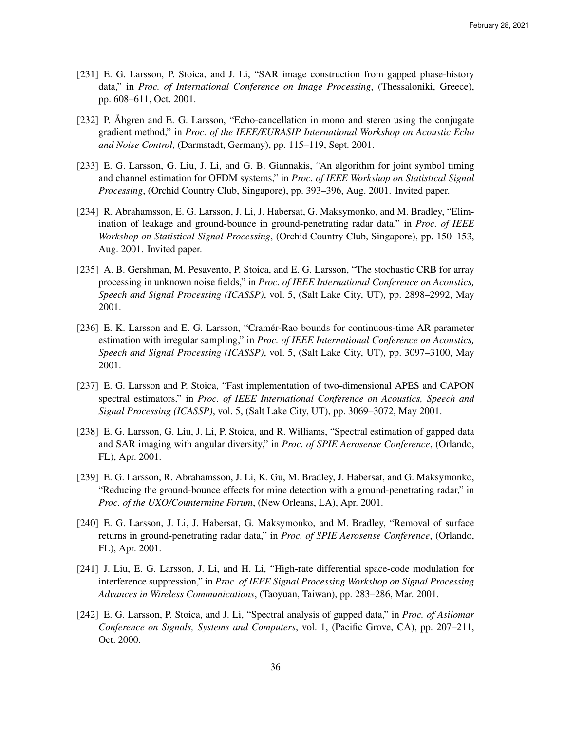- [231] E. G. Larsson, P. Stoica, and J. Li, "SAR image construction from gapped phase-history data," in *Proc. of International Conference on Image Processing*, (Thessaloniki, Greece), pp. 608–611, Oct. 2001.
- [232] P. Ahgren and E. G. Larsson, "Echo-cancellation in mono and stereo using the conjugate gradient method," in *Proc. of the IEEE/EURASIP International Workshop on Acoustic Echo and Noise Control*, (Darmstadt, Germany), pp. 115–119, Sept. 2001.
- [233] E. G. Larsson, G. Liu, J. Li, and G. B. Giannakis, "An algorithm for joint symbol timing and channel estimation for OFDM systems," in *Proc. of IEEE Workshop on Statistical Signal Processing*, (Orchid Country Club, Singapore), pp. 393–396, Aug. 2001. Invited paper.
- [234] R. Abrahamsson, E. G. Larsson, J. Li, J. Habersat, G. Maksymonko, and M. Bradley, "Elimination of leakage and ground-bounce in ground-penetrating radar data," in *Proc. of IEEE Workshop on Statistical Signal Processing*, (Orchid Country Club, Singapore), pp. 150–153, Aug. 2001. Invited paper.
- [235] A. B. Gershman, M. Pesavento, P. Stoica, and E. G. Larsson, "The stochastic CRB for array processing in unknown noise fields," in *Proc. of IEEE International Conference on Acoustics, Speech and Signal Processing (ICASSP)*, vol. 5, (Salt Lake City, UT), pp. 2898–2992, May 2001.
- [236] E. K. Larsson and E. G. Larsson, "Cramér-Rao bounds for continuous-time AR parameter estimation with irregular sampling," in *Proc. of IEEE International Conference on Acoustics, Speech and Signal Processing (ICASSP)*, vol. 5, (Salt Lake City, UT), pp. 3097–3100, May 2001.
- [237] E. G. Larsson and P. Stoica, "Fast implementation of two-dimensional APES and CAPON spectral estimators," in *Proc. of IEEE International Conference on Acoustics, Speech and Signal Processing (ICASSP)*, vol. 5, (Salt Lake City, UT), pp. 3069–3072, May 2001.
- [238] E. G. Larsson, G. Liu, J. Li, P. Stoica, and R. Williams, "Spectral estimation of gapped data and SAR imaging with angular diversity," in *Proc. of SPIE Aerosense Conference*, (Orlando, FL), Apr. 2001.
- [239] E. G. Larsson, R. Abrahamsson, J. Li, K. Gu, M. Bradley, J. Habersat, and G. Maksymonko, "Reducing the ground-bounce effects for mine detection with a ground-penetrating radar," in *Proc. of the UXO/Countermine Forum*, (New Orleans, LA), Apr. 2001.
- [240] E. G. Larsson, J. Li, J. Habersat, G. Maksymonko, and M. Bradley, "Removal of surface returns in ground-penetrating radar data," in *Proc. of SPIE Aerosense Conference*, (Orlando, FL), Apr. 2001.
- [241] J. Liu, E. G. Larsson, J. Li, and H. Li, "High-rate differential space-code modulation for interference suppression," in *Proc. of IEEE Signal Processing Workshop on Signal Processing Advances in Wireless Communications*, (Taoyuan, Taiwan), pp. 283–286, Mar. 2001.
- [242] E. G. Larsson, P. Stoica, and J. Li, "Spectral analysis of gapped data," in *Proc. of Asilomar Conference on Signals, Systems and Computers*, vol. 1, (Pacific Grove, CA), pp. 207–211, Oct. 2000.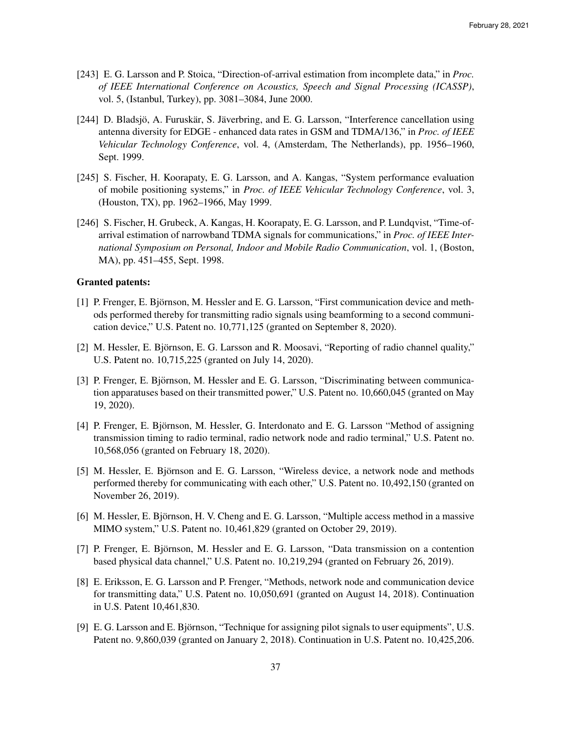- [243] E. G. Larsson and P. Stoica, "Direction-of-arrival estimation from incomplete data," in *Proc. of IEEE International Conference on Acoustics, Speech and Signal Processing (ICASSP)*, vol. 5, (Istanbul, Turkey), pp. 3081–3084, June 2000.
- [244] D. Bladsjö, A. Furuskär, S. Jäverbring, and E. G. Larsson, "Interference cancellation using antenna diversity for EDGE - enhanced data rates in GSM and TDMA/136," in *Proc. of IEEE Vehicular Technology Conference*, vol. 4, (Amsterdam, The Netherlands), pp. 1956–1960, Sept. 1999.
- [245] S. Fischer, H. Koorapaty, E. G. Larsson, and A. Kangas, "System performance evaluation of mobile positioning systems," in *Proc. of IEEE Vehicular Technology Conference*, vol. 3, (Houston, TX), pp. 1962–1966, May 1999.
- [246] S. Fischer, H. Grubeck, A. Kangas, H. Koorapaty, E. G. Larsson, and P. Lundqvist, "Time-ofarrival estimation of narrowband TDMA signals for communications," in *Proc. of IEEE International Symposium on Personal, Indoor and Mobile Radio Communication*, vol. 1, (Boston, MA), pp. 451–455, Sept. 1998.

#### Granted patents:

- [1] P. Frenger, E. Bjornson, M. Hessler and E. G. Larsson, "First communication device and meth- ¨ ods performed thereby for transmitting radio signals using beamforming to a second communication device," U.S. Patent no. 10,771,125 (granted on September 8, 2020).
- [2] M. Hessler, E. Björnson, E. G. Larsson and R. Moosavi, "Reporting of radio channel quality," U.S. Patent no. 10,715,225 (granted on July 14, 2020).
- [3] P. Frenger, E. Björnson, M. Hessler and E. G. Larsson, "Discriminating between communication apparatuses based on their transmitted power," U.S. Patent no. 10,660,045 (granted on May 19, 2020).
- [4] P. Frenger, E. Björnson, M. Hessler, G. Interdonato and E. G. Larsson "Method of assigning transmission timing to radio terminal, radio network node and radio terminal," U.S. Patent no. 10,568,056 (granted on February 18, 2020).
- [5] M. Hessler, E. Björnson and E. G. Larsson, "Wireless device, a network node and methods performed thereby for communicating with each other," U.S. Patent no. 10,492,150 (granted on November 26, 2019).
- [6] M. Hessler, E. Björnson, H. V. Cheng and E. G. Larsson, "Multiple access method in a massive MIMO system," U.S. Patent no. 10,461,829 (granted on October 29, 2019).
- [7] P. Frenger, E. Björnson, M. Hessler and E. G. Larsson, "Data transmission on a contention based physical data channel," U.S. Patent no. 10,219,294 (granted on February 26, 2019).
- [8] E. Eriksson, E. G. Larsson and P. Frenger, "Methods, network node and communication device for transmitting data," U.S. Patent no. 10,050,691 (granted on August 14, 2018). Continuation in U.S. Patent 10,461,830.
- [9] E. G. Larsson and E. Björnson, "Technique for assigning pilot signals to user equipments", U.S. Patent no. 9,860,039 (granted on January 2, 2018). Continuation in U.S. Patent no. 10,425,206.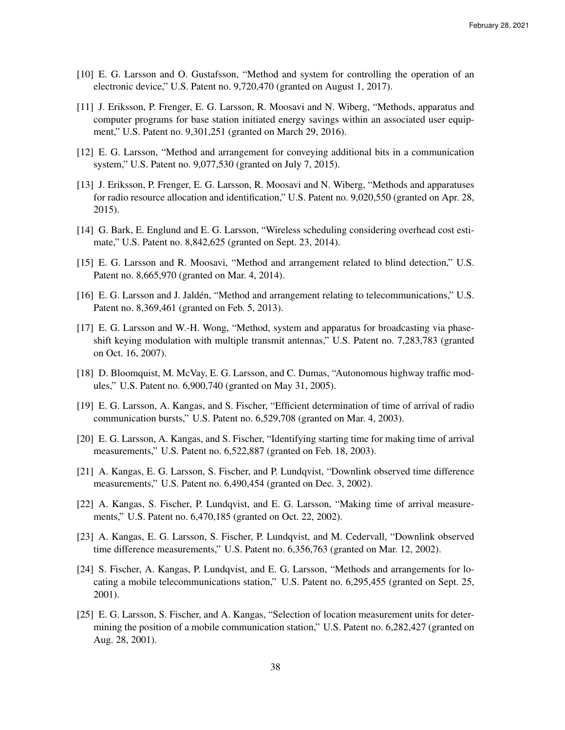- [10] E. G. Larsson and O. Gustafsson, "Method and system for controlling the operation of an electronic device," U.S. Patent no. 9,720,470 (granted on August 1, 2017).
- [11] J. Eriksson, P. Frenger, E. G. Larsson, R. Moosavi and N. Wiberg, "Methods, apparatus and computer programs for base station initiated energy savings within an associated user equipment," U.S. Patent no. 9,301,251 (granted on March 29, 2016).
- [12] E. G. Larsson, "Method and arrangement for conveying additional bits in a communication system," U.S. Patent no. 9,077,530 (granted on July 7, 2015).
- [13] J. Eriksson, P. Frenger, E. G. Larsson, R. Moosavi and N. Wiberg, "Methods and apparatuses for radio resource allocation and identification," U.S. Patent no. 9,020,550 (granted on Apr. 28, 2015).
- [14] G. Bark, E. Englund and E. G. Larsson, "Wireless scheduling considering overhead cost estimate," U.S. Patent no. 8,842,625 (granted on Sept. 23, 2014).
- [15] E. G. Larsson and R. Moosavi, "Method and arrangement related to blind detection," U.S. Patent no. 8,665,970 (granted on Mar. 4, 2014).
- [16] E. G. Larsson and J. Jalden, "Method and arrangement relating to telecommunications," U.S. ´ Patent no. 8,369,461 (granted on Feb. 5, 2013).
- [17] E. G. Larsson and W.-H. Wong, "Method, system and apparatus for broadcasting via phaseshift keying modulation with multiple transmit antennas," U.S. Patent no. 7,283,783 (granted on Oct. 16, 2007).
- [18] D. Bloomquist, M. McVay, E. G. Larsson, and C. Dumas, "Autonomous highway traffic modules," U.S. Patent no. 6,900,740 (granted on May 31, 2005).
- [19] E. G. Larsson, A. Kangas, and S. Fischer, "Efficient determination of time of arrival of radio communication bursts," U.S. Patent no. 6,529,708 (granted on Mar. 4, 2003).
- [20] E. G. Larsson, A. Kangas, and S. Fischer, "Identifying starting time for making time of arrival measurements," U.S. Patent no. 6,522,887 (granted on Feb. 18, 2003).
- [21] A. Kangas, E. G. Larsson, S. Fischer, and P. Lundqvist, "Downlink observed time difference measurements," U.S. Patent no. 6,490,454 (granted on Dec. 3, 2002).
- [22] A. Kangas, S. Fischer, P. Lundqvist, and E. G. Larsson, "Making time of arrival measurements," U.S. Patent no. 6,470,185 (granted on Oct. 22, 2002).
- [23] A. Kangas, E. G. Larsson, S. Fischer, P. Lundqvist, and M. Cedervall, "Downlink observed time difference measurements," U.S. Patent no. 6,356,763 (granted on Mar. 12, 2002).
- [24] S. Fischer, A. Kangas, P. Lundqvist, and E. G. Larsson, "Methods and arrangements for locating a mobile telecommunications station," U.S. Patent no. 6,295,455 (granted on Sept. 25, 2001).
- [25] E. G. Larsson, S. Fischer, and A. Kangas, "Selection of location measurement units for determining the position of a mobile communication station," U.S. Patent no. 6,282,427 (granted on Aug. 28, 2001).